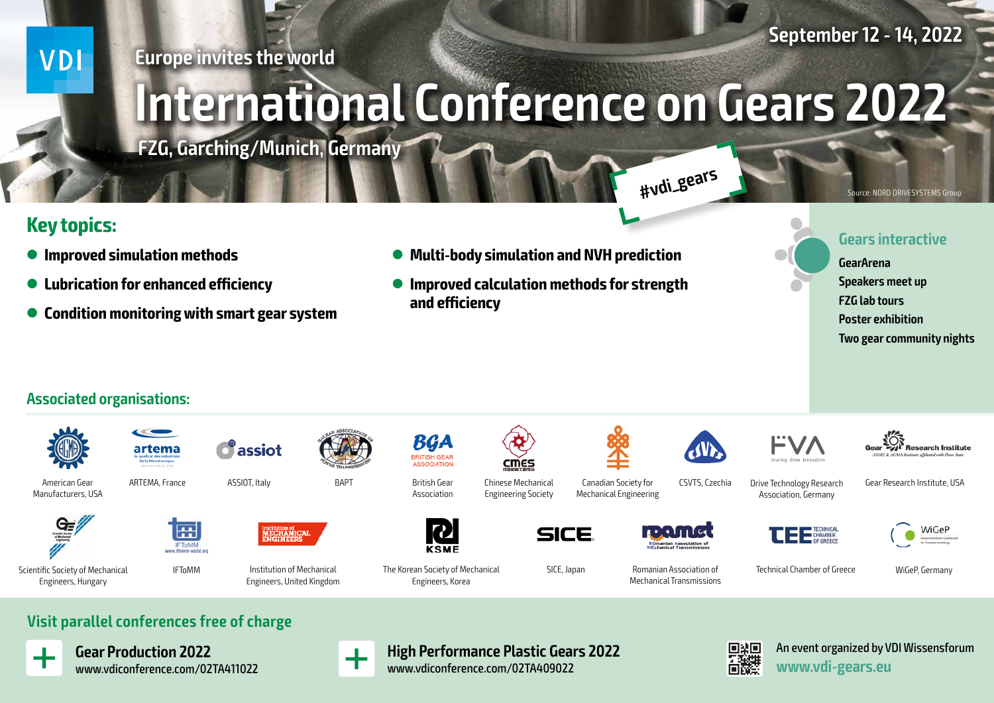**September 12 - 14, 2022**

**VDI** 

### **Europe invites the world**

# **International Conference on Gears 2022**

**FZG, Garching/Munich, Germany**

# **Key topics:**

- $\bullet$  Improved simulation methods
- l **Lubrication for enhanced efficiency**
- l **Condition monitoring with smart gear system**
- l **Multi-body simulation and NVH prediction**
- l **Improved calculation methods for strength and efficiency**

**Gears interactive**

**GearArena Speakers meet up FZG lab tours Poster exhibition Two gear community nights**

Source: NORD DRIVESYSTEMS Group

### **Associated organisations:**





American Gear Manufacturers, USA

Scientific Society of Mechanical Engineers, Hungary



artema

ASSIOT, Italy



 $\delta$  assiot

Institution of Mechanical Engineers, United Kingdom



Association



Engineers, Korea



SICE

Chinese Mechanical Engineering Society

cmes

Canadian Society for Mechanical Engineering



CSVTS, Czechia

Romanian Association of Mechanical Transmissions

**#vdi\_gears**



**Research Institute** 

Drive Technology Research Association, Germany

Gear Research Institute, USA





SICE, Japan **Technical Chamber of Greece** WiGeP, Germany



**Visit parallel conferences free of charge**

IFToMM

m

**IFTOMM** 



**Gear Production 2022** www.vdiconference.com/02TA411022



**High Performance Plastic Gears 2022** www.vdiconference.com/02TA409022



An event organized by VDI Wissensforum **www.vdi-gears.eu**

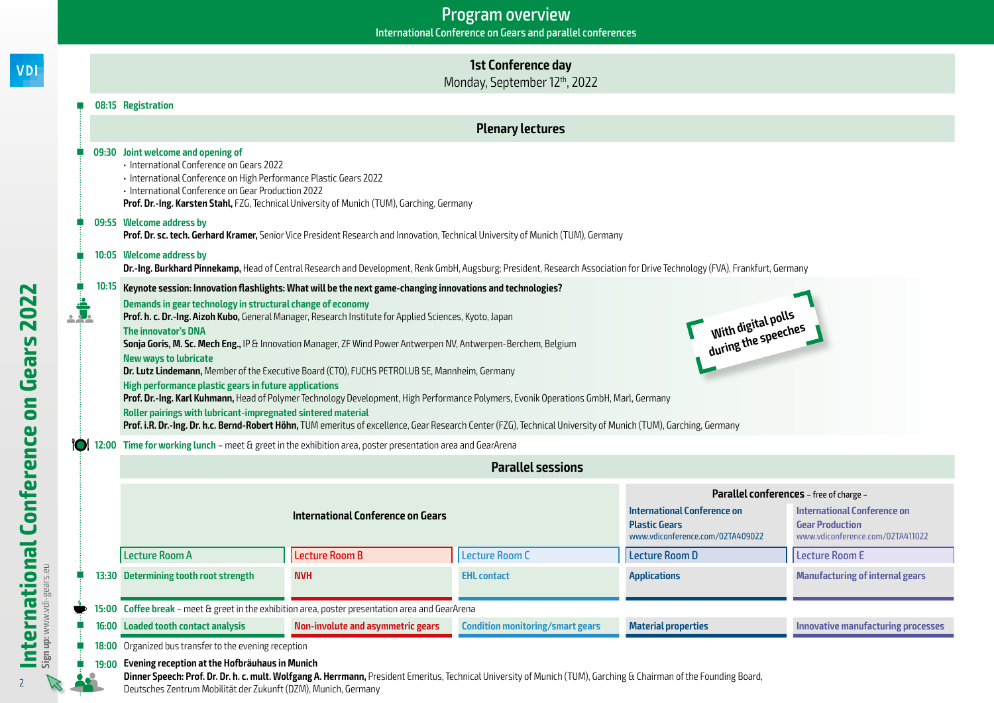### **1st Conference day**

Monday, September 12th, 2022

### **08:15 Registration**

**VDI** 

 $\sqrt{2}$ 

### **Plenary lectures**

|                        |       | 09:30 Joint welcome and opening of<br>· International Conference on Gears 2022<br>· International Conference on High Performance Plastic Gears 2022<br>· International Conference on Gear Production 2022                                                                                                                                                                                                                                                                                                                                                                                                                                                                                                                                                                                                                                                                                                                                                                                                                                                                                                                                                     | Prof. Dr.-Ing. Karsten Stahl, FZG, Technical University of Munich (TUM), Garching, Germany                                                                                 |                                         |                                                                                         |                                                                                                                                             |
|------------------------|-------|---------------------------------------------------------------------------------------------------------------------------------------------------------------------------------------------------------------------------------------------------------------------------------------------------------------------------------------------------------------------------------------------------------------------------------------------------------------------------------------------------------------------------------------------------------------------------------------------------------------------------------------------------------------------------------------------------------------------------------------------------------------------------------------------------------------------------------------------------------------------------------------------------------------------------------------------------------------------------------------------------------------------------------------------------------------------------------------------------------------------------------------------------------------|----------------------------------------------------------------------------------------------------------------------------------------------------------------------------|-----------------------------------------|-----------------------------------------------------------------------------------------|---------------------------------------------------------------------------------------------------------------------------------------------|
|                        |       | 09:55 Welcome address by                                                                                                                                                                                                                                                                                                                                                                                                                                                                                                                                                                                                                                                                                                                                                                                                                                                                                                                                                                                                                                                                                                                                      | Prof. Dr. sc. tech. Gerhard Kramer, Senior Vice President Research and Innovation, Technical University of Munich (TUM), Germany                                           |                                         |                                                                                         |                                                                                                                                             |
|                        |       | 10:05 Welcome address by                                                                                                                                                                                                                                                                                                                                                                                                                                                                                                                                                                                                                                                                                                                                                                                                                                                                                                                                                                                                                                                                                                                                      | Dr.-Ing. Burkhard Pinnekamp, Head of Central Research and Development, Renk GmbH, Augsburg; President, Research Association for Drive Technology (FVA), Frankfurt, Germany |                                         |                                                                                         |                                                                                                                                             |
| İ.<br>Conference<br>ïO | 10:15 | Keynote session: Innovation flashlights: What will be the next game-changing innovations and technologies?<br>Demands in gear technology in structural change of economy<br>With digital polls<br>during the speeches<br>Prof. h. c. Dr.-Ing. Aizoh Kubo, General Manager, Research Institute for Applied Sciences, Kyoto, Japan<br>The innovator's DNA<br>Sonja Goris, M. Sc. Mech Eng., IP & Innovation Manager, ZF Wind Power Antwerpen NV, Antwerpen-Berchem, Belgium<br><b>New ways to lubricate</b><br>Dr. Lutz Lindemann, Member of the Executive Board (CTO), FUCHS PETROLUB SE, Mannheim, Germany<br>High performance plastic gears in future applications<br>Prof. Dr.-Ing. Karl Kuhmann, Head of Polymer Technology Development, High Performance Polymers, Evonik Operations GmbH, Marl, Germany<br>Roller pairings with lubricant-impregnated sintered material<br>Prof. i.R. Dr.-Ing. Dr. h.c. Bernd-Robert Höhn, TUM emeritus of excellence, Gear Research Center (FZG), Technical University of Munich (TUM), Garching, Germany<br>12:00 Time for working lunch - meet & greet in the exhibition area, poster presentation area and GearArena |                                                                                                                                                                            |                                         |                                                                                         |                                                                                                                                             |
|                        |       |                                                                                                                                                                                                                                                                                                                                                                                                                                                                                                                                                                                                                                                                                                                                                                                                                                                                                                                                                                                                                                                                                                                                                               |                                                                                                                                                                            | <b>Parallel sessions</b>                |                                                                                         |                                                                                                                                             |
|                        |       |                                                                                                                                                                                                                                                                                                                                                                                                                                                                                                                                                                                                                                                                                                                                                                                                                                                                                                                                                                                                                                                                                                                                                               | <b>International Conference on Gears</b>                                                                                                                                   |                                         | International Conference on<br><b>Plastic Gears</b><br>www.vdiconference.com/02TA409022 | Parallel conferences - free of charge -<br><b>International Conference on</b><br><b>Gear Production</b><br>www.vdiconference.com/02TA411022 |
|                        |       | <b>Lecture Room A</b>                                                                                                                                                                                                                                                                                                                                                                                                                                                                                                                                                                                                                                                                                                                                                                                                                                                                                                                                                                                                                                                                                                                                         | Lecture Room B                                                                                                                                                             | <b>Lecture Room C</b>                   | <b>Lecture Room D</b>                                                                   | <b>Lecture Room E</b>                                                                                                                       |
|                        |       | 13:30 Determining tooth root strength                                                                                                                                                                                                                                                                                                                                                                                                                                                                                                                                                                                                                                                                                                                                                                                                                                                                                                                                                                                                                                                                                                                         | <b>NVH</b>                                                                                                                                                                 | <b>EHL contact</b>                      | <b>Applications</b>                                                                     | <b>Manufacturing of internal gears</b>                                                                                                      |
|                        |       |                                                                                                                                                                                                                                                                                                                                                                                                                                                                                                                                                                                                                                                                                                                                                                                                                                                                                                                                                                                                                                                                                                                                                               | 15:00 Coffee break - meet & greet in the exhibition area, poster presentation area and GearArena                                                                           |                                         |                                                                                         |                                                                                                                                             |
|                        |       | 16:00 Loaded tooth contact analysis                                                                                                                                                                                                                                                                                                                                                                                                                                                                                                                                                                                                                                                                                                                                                                                                                                                                                                                                                                                                                                                                                                                           | Non-involute and asymmetric gears                                                                                                                                          | <b>Condition monitoring/smart gears</b> | <b>Material properties</b>                                                              | <b>Innovative manufacturing processes</b>                                                                                                   |
|                        |       | 18:00 Organized bus transfer to the evening reception                                                                                                                                                                                                                                                                                                                                                                                                                                                                                                                                                                                                                                                                                                                                                                                                                                                                                                                                                                                                                                                                                                         |                                                                                                                                                                            |                                         |                                                                                         |                                                                                                                                             |
| International          | 19:00 | Evening reception at the Hofbräuhaus in Munich<br>Doutseless Zantume Mabilität der Zulungt (DZM) Munick Carpenau                                                                                                                                                                                                                                                                                                                                                                                                                                                                                                                                                                                                                                                                                                                                                                                                                                                                                                                                                                                                                                              | Dinner Speech: Prof. Dr. Dr. h. c. mult. Wolfgang A. Herrmann, President Emeritus, Technical University of Munich (TUM), Garching & Chairman of the Founding Board,        |                                         |                                                                                         |                                                                                                                                             |

Deutsches Zentrum Mobilität der Zukunft (DZM), Munich, Germany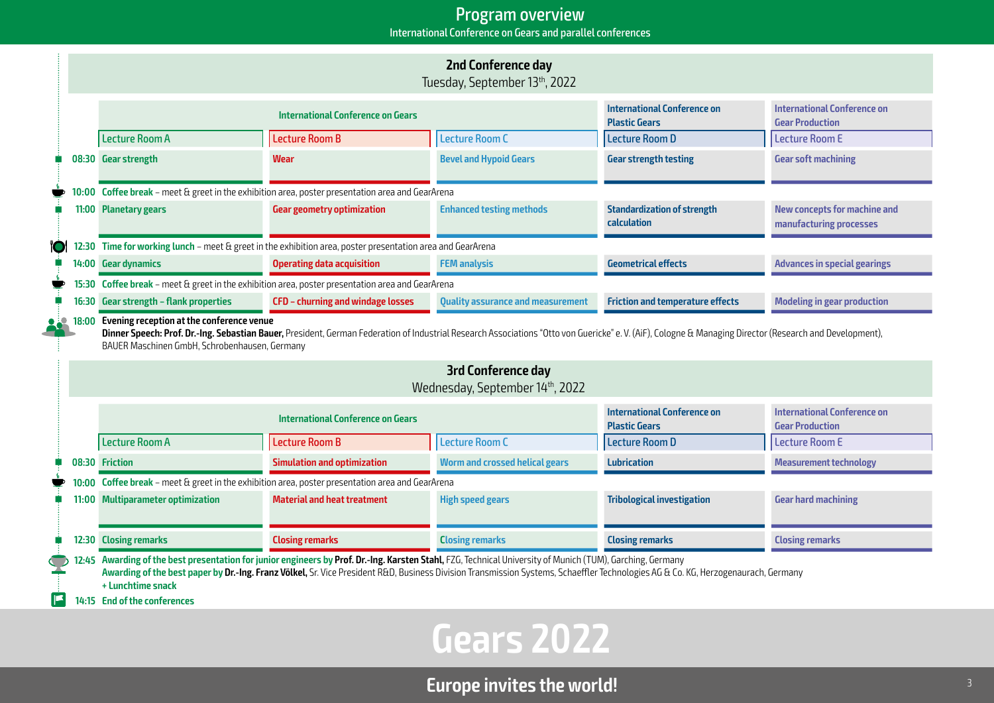### Program overview International Conference on Gears and parallel conferences

|       | <b>2nd Conference day</b><br>Tuesday, September 13th, 2022                                                                                                                                                                                                                                                                                                                      |                                                                                                            |                                          |                                                            |                                                                |  |
|-------|---------------------------------------------------------------------------------------------------------------------------------------------------------------------------------------------------------------------------------------------------------------------------------------------------------------------------------------------------------------------------------|------------------------------------------------------------------------------------------------------------|------------------------------------------|------------------------------------------------------------|----------------------------------------------------------------|--|
|       |                                                                                                                                                                                                                                                                                                                                                                                 | International Conference on Gears                                                                          |                                          | <b>International Conference on</b><br><b>Plastic Gears</b> | <b>International Conference on</b><br><b>Gear Production</b>   |  |
|       | <b>Lecture Room A</b>                                                                                                                                                                                                                                                                                                                                                           | <b>Lecture Room B</b>                                                                                      | <b>Lecture Room C</b>                    | <b>Lecture Room D</b>                                      | <b>Lecture Room E</b>                                          |  |
|       | 08:30 Gear strength                                                                                                                                                                                                                                                                                                                                                             | Wear                                                                                                       | <b>Bevel and Hypoid Gears</b>            | <b>Gear strength testing</b>                               | <b>Gear soft machining</b>                                     |  |
|       |                                                                                                                                                                                                                                                                                                                                                                                 | 10:00 Coffee break - meet & greet in the exhibition area, poster presentation area and GearArena           |                                          |                                                            |                                                                |  |
|       | 11:00 Planetary gears                                                                                                                                                                                                                                                                                                                                                           | <b>Gear geometry optimization</b>                                                                          | <b>Enhanced testing methods</b>          | <b>Standardization of strength</b><br><b>calculation</b>   | <b>New concepts for machine and</b><br>manufacturing processes |  |
|       |                                                                                                                                                                                                                                                                                                                                                                                 | 12:30 Time for working lunch - meet & greet in the exhibition area, poster presentation area and GearArena |                                          |                                                            |                                                                |  |
|       | 14:00 Gear dynamics                                                                                                                                                                                                                                                                                                                                                             | <b>Operating data acquisition</b>                                                                          | <b>FEM analysis</b>                      | <b>Geometrical effects</b>                                 | <b>Advances in special gearings</b>                            |  |
|       |                                                                                                                                                                                                                                                                                                                                                                                 | 15:30 Coffee break - meet & greet in the exhibition area, poster presentation area and GearArena           |                                          |                                                            |                                                                |  |
| 16:30 | <b>Gear strength - flank properties</b>                                                                                                                                                                                                                                                                                                                                         | CFD - churning and windage losses                                                                          | <b>Quality assurance and measurement</b> | <b>Friction and temperature effects</b>                    | <b>Modeling in gear production</b>                             |  |
|       | Evening reception at the conference venue<br>18:00<br>Dinner Speech: Prof. Dr.-Ing. Sebastian Bauer, President, German Federation of Industrial Research Associations "Otto von Guericke" e. V. (AiF), Cologne & Managing Director (Research and Development),<br>BAUER Maschinen GmbH, Schrobenhausen, Germany<br><b>3rd Conference day</b><br>Wednesday, September 14th, 2022 |                                                                                                            |                                          |                                                            |                                                                |  |
|       |                                                                                                                                                                                                                                                                                                                                                                                 | <b>International Conference on Gears</b>                                                                   |                                          | <b>International Conference on</b><br><b>Plastic Gears</b> | <b>International Conference on</b><br><b>Gear Production</b>   |  |
|       | <b>Lecture Room A</b>                                                                                                                                                                                                                                                                                                                                                           | Lecture Room B                                                                                             | <b>Lecture Room C</b>                    | <b>Lecture Room D</b>                                      | <b>Lecture Room E</b>                                          |  |
|       | 08:30 Friction                                                                                                                                                                                                                                                                                                                                                                  | <b>Simulation and optimization</b>                                                                         | <b>Worm and crossed helical gears</b>    | <b>Lubrication</b>                                         | <b>Measurement technology</b>                                  |  |
| 10:00 | Coffee break - meet & greet in the exhibition area, poster presentation area and GearArena                                                                                                                                                                                                                                                                                      |                                                                                                            |                                          |                                                            |                                                                |  |
| 11:00 | <b>Multiparameter optimization</b>                                                                                                                                                                                                                                                                                                                                              | <b>Material and heat treatment</b>                                                                         | <b>High speed gears</b>                  | <b>Tribological investigation</b>                          | <b>Gear hard machining</b>                                     |  |
|       | 12:30 Closing remarks                                                                                                                                                                                                                                                                                                                                                           | <b>Closing remarks</b>                                                                                     | <b>Closing remarks</b>                   | <b>Closing remarks</b>                                     | <b>Closing remarks</b>                                         |  |
|       | 12:45 Awarding of the best presentation for junior engineers by Prof. Dr.-Ing. Karsten Stahl, FZG, Technical University of Munich (TUM), Garching, Germany<br>Awarding of the best paper by Dr.-Ing. Franz Völkel, Sr. Vice President R&D, Business Division Transmission Systems, Schaeffler Technologies AG & Co. KG, Herzogenaurach, Germany<br>+ Lunchtime snack            |                                                                                                            |                                          |                                                            |                                                                |  |

**14:15 End of the conferences**

# **Gears 2022**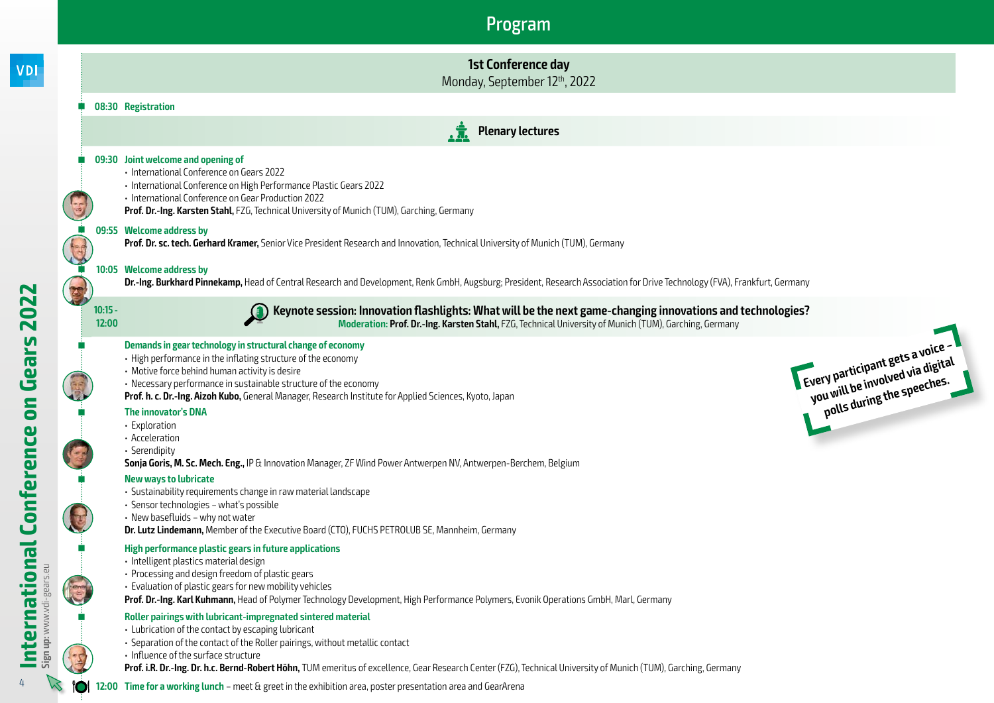**y Pull be involved speeches.**<br>u will be involved speeches.<br>polls during the speeches.



**12:00 Time for a working lunch** – meet & greet in the exhibition area, poster presentation area and GearArena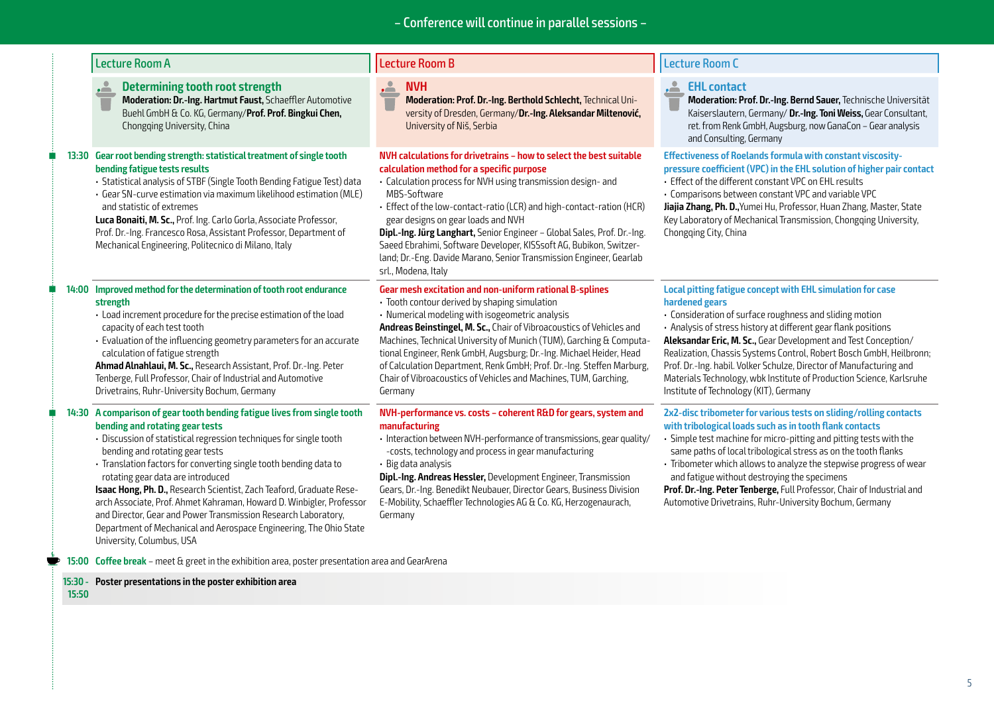### **Determining tooth root strength**

**Moderation: Dr.-Ing. Hartmut Faust,** Schaeffler Automotive Buehl GmbH & Co. KG, Germany/**Prof. Prof. Bingkui Chen,** Chongqing University, China

### **13:30 Gear root bending strength: statistical treatment of single tooth bending fatigue tests results**

- Statistical analysis of STBF (Single Tooth Bending Fatigue Test) data
- Gear SN-curve estimation via maximum likelihood estimation (MLE) and statistic of extremes

**Luca Bonaiti, M. Sc.,** Prof. Ing. Carlo Gorla, Associate Professor, Prof. Dr.-Ing. Francesco Rosa, Assistant Professor, Department of Mechanical Engineering, Politecnico di Milano, Italy

#### **14:00 Improved method for the determination of tooth root endurance strength**

- Load increment procedure for the precise estimation of the load capacity of each test tooth
- Evaluation of the influencing geometry parameters for an accurate calculation of fatigue strength

**Ahmad Alnahlaui, M. Sc.,** Research Assistant, Prof. Dr.-Ing. Peter Tenberge, Full Professor, Chair of Industrial and Automotive Drivetrains, Ruhr-University Bochum, Germany

### **14:30 A comparison of gear tooth bending fatigue lives from single tooth bending and rotating gear tests**

- Discussion of statistical regression techniques for single tooth bending and rotating gear tests
- Translation factors for converting single tooth bending data to rotating gear data are introduced

**Isaac Hong, Ph. D.,** Research Scientist, Zach Teaford, Graduate Research Associate, Prof. Ahmet Kahraman, Howard D. Winbigler, Professor and Director, Gear and Power Transmission Research Laboratory, Department of Mechanical and Aerospace Engineering, The Ohio State University, Columbus, USA

**15:00 Coffee break** – meet & greet in the exhibition area, poster presentation area and GearArena

#### **15:30 - Poster presentations in the poster exhibition area**

**15:50**

#### <u>. 2</u> **NVH**

**Moderation: Prof. Dr.-Ing. Berthold Schlecht,** Technical University of Dresden, Germany/**Dr.-Ing. Aleksandar Miltenović,**  University of Niš, Serbia

### **NVH calculations for drivetrains – how to select the best suitable calculation method for a specific purpose**

- Calculation process for NVH using transmission design- and MBS-Software
- Effect of the low-contact-ratio (LCR) and high-contact-ration (HCR) gear designs on gear loads and NVH

**Dipl.-Ing. Jürg Langhart,** Senior Engineer – Global Sales, Prof. Dr.-Ing. Saeed Ebrahimi, Software Developer, KISSsoft AG, Bubikon, Switzerland; Dr.-Eng. Davide Marano, Senior Transmission Engineer, Gearlab srl., Modena, Italy

#### **Gear mesh excitation and non-uniform rational B-splines**

- Tooth contour derived by shaping simulation
- Numerical modeling with isogeometric analysis

**Andreas Beinstingel, M. Sc.,** Chair of Vibroacoustics of Vehicles and Machines, Technical University of Munich (TUM), Garching & Computational Engineer, Renk GmbH, Augsburg; Dr.-Ing. Michael Heider, Head of Calculation Department, Renk GmbH; Prof. Dr.-Ing. Steffen Marburg, Chair of Vibroacoustics of Vehicles and Machines, TUM, Garching, Germany

#### **NVH-performance vs. costs – coherent R&D for gears, system and manufacturing**

- Interaction between NVH-performance of transmissions, gear quality/ -costs, technology and process in gear manufacturing
- Big data analysis

**Dipl.-Ing. Andreas Hessler,** Development Engineer, Transmission Gears, Dr.-Ing. Benedikt Neubauer, Director Gears, Business Division E-Mobility, Schaeffler Technologies AG & Co. KG, Herzogenaurach, Germany

### Lecture Room A Lecture Room B Lecture Room C

### **EHL contact**

**Moderation: Prof. Dr.-Ing. Bernd Sauer,** Technische Universität Kaiserslautern, Germany/ **Dr.-Ing. Toni Weiss,** Gear Consultant, ret. from Renk GmbH, Augsburg, now GanaCon – Gear analysis and Consulting, Germany

**Effectiveness of Roelands formula with constant viscositypressure coefficient (VPC) in the EHL solution of higher pair contact** 

- Effect of the different constant VPC on EHL results
- Comparisons between constant VPC and variable VPC

**Jiajia Zhang, Ph. D.,**Yumei Hu, Professor, Huan Zhang, Master, State Key Laboratory of Mechanical Transmission, Chongqing University, Chongqing City, China

### **Local pitting fatigue concept with EHL simulation for case hardened gears**

• Consideration of surface roughness and sliding motion • Analysis of stress history at different gear flank positions **Aleksandar Eric, M. Sc.,** Gear Development and Test Conception/ Realization, Chassis Systems Control, Robert Bosch GmbH, Heilbronn; Prof. Dr.-Ing. habil. Volker Schulze, Director of Manufacturing and Materials Technology, wbk Institute of Production Science, Karlsruhe Institute of Technology (KIT), Germany

#### **2x2-disc tribometer for various tests on sliding/rolling contacts with tribological loads such as in tooth flank contacts**

• Simple test machine for micro-pitting and pitting tests with the same paths of local tribological stress as on the tooth flanks

• Tribometer which allows to analyze the stepwise progress of wear and fatigue without destroying the specimens

**Prof. Dr.-Ing. Peter Tenberge,** Full Professor, Chair of Industrial and Automotive Drivetrains, Ruhr-University Bochum, Germany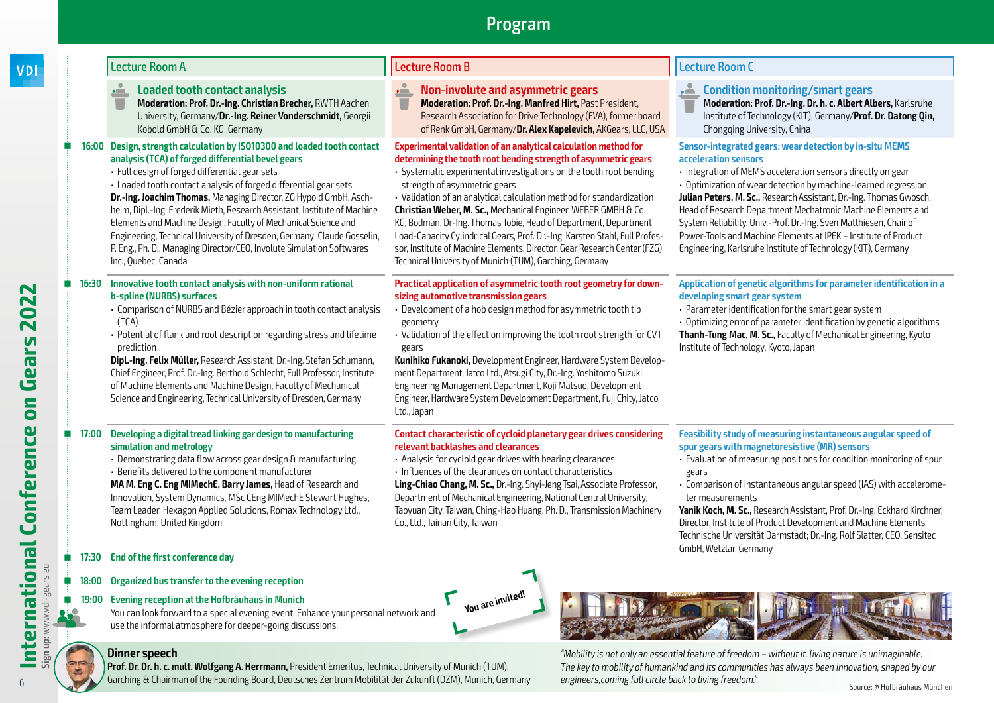#### **Loaded tooth contact analysis** ض

**Moderation: Prof. Dr.-Ing. Christian Brecher,** RWTH Aachen University, Germany/**Dr.-Ing. Reiner Vonderschmidt,** Georgii Kobold GmbH & Co. KG, Germany

### **16:00 Design, strength calculation by ISO10300 and loaded tooth contact analysis (TCA) of forged differential bevel gears**

- Full design of forged differential gear sets
- Loaded tooth contact analysis of forged differential gear sets **Dr.-Ing. Joachim Thomas,** Managing Director, ZG Hypoid GmbH, Aschheim, Dipl.-Ing. Frederik Mieth, Research Assistant, Institute of Machine Elements and Machine Design, Faculty of Mechanical Science and Engineering, Technical University of Dresden, Germany; Claude Gosselin, P. Eng., Ph. D., Managing Director/CEO, Involute Simulation Softwares Inc., Quebec, Canada

### **16:30 Innovative tooth contact analysis with non-uniform rational b-spline (NURBS) surfaces**

- Comparison of NURBS and Bézier approach in tooth contact analysis (TCA)
- Potential of flank and root description regarding stress and lifetime prediction

**Dipl.-Ing. Felix Müller,** Research Assistant, Dr.-Ing. Stefan Schumann, Chief Engineer, Prof. Dr.-Ing. Berthold Schlecht, Full Professor, Institute of Machine Elements and Machine Design, Faculty of Mechanical Science and Engineering, Technical University of Dresden, Germany

### **17:00 Developing a digital tread linking gar design to manufacturing simulation and metrology**

• Demonstrating data flow across gear design & manufacturing

• Benefits delivered to the component manufacturer

**MA M. Eng C. Eng MIMechE, Barry James,** Head of Research and Innovation, System Dynamics, MSc CEng MIMechE Stewart Hughes, Team Leader, Hexagon Applied Solutions, Romax Technology Ltd., Nottingham, United Kingdom

### **17:30 End of the first conference day**

### **18:00 Organized bus transfer to the evening reception**

### **19:00 Evening reception at the Hofbräuhaus in Munich**

You can look forward to a special evening event. Enhance your personal network and use the informal atmosphere for deeper-going discussions.

### **Dinner speech**

**Prof. Dr. Dr. h. c. mult. Wolfgang A. Herrmann,** President Emeritus, Technical University of Munich (TUM), Garching & Chairman of the Founding Board, Deutsches Zentrum Mobilität der Zukunft (DZM), Munich, Germany

### Lecture Room A Lecture Room B Lecture Room C

#### **Non-involute and asymmetric gears** <u>. 2. </u>

**Moderation: Prof. Dr.-Ing. Manfred Hirt,** Past President, Research Association for Drive Technology (FVA), former board of Renk GmbH, Germany/**Dr. Alex Kapelevich,** AKGears, LLC, USA

### **Experimental validation of an analytical calculation method for determining the tooth root bending strength of asymmetric gears**

• Systematic experimental investigations on the tooth root bending strength of asymmetric gears

• Validation of an analytical calculation method for standardization **Christian Weber, M. Sc.,** Mechanical Engineer, WEBER GMBH & Co. KG, Bodman, Dr-Ing. Thomas Tobie, Head of Department, Department Load-Capacity Cylindrical Gears, Prof. Dr.-Ing. Karsten Stahl, Full Professor, Institute of Machine Elements, Director, Gear Research Center (FZG), Technical University of Munich (TUM), Garching, Germany

### **Practical application of asymmetric tooth root geometry for downsizing automotive transmission gears**

- Development of a hob design method for asymmetric tooth tip geometry
- Validation of the effect on improving the tooth root strength for CVT gears

**Kunihiko Fukanoki,** Development Engineer, Hardware System Development Department, Jatco Ltd., Atsugi City, Dr.-Ing. Yoshitomo Suzuki. Engineering Management Department, Koji Matsuo, Development Engineer, Hardware System Development Department, Fuji Chity, Jatco Ltd., Japan

### **Contact characteristic of cycloid planetary gear drives considering relevant backlashes and clearances**

- Analysis for cycloid gear drives with bearing clearances
- Influences of the clearances on contact characteristics

**You are invited!**

**Ling-Chiao Chang, M. Sc.,** Dr.-Ing. Shyi-Jeng Tsai, Associate Professor, Department of Mechanical Engineering, National Central University, Taoyuan City, Taiwan, Ching-Hao Huang, Ph. D., Transmission Machinery Co., Ltd., Tainan City, Taiwan

### **Condition monitoring/smart gears**

**Moderation: Prof. Dr.-Ing. Dr. h. c. Albert Albers,** Karlsruhe Institute of Technology (KIT), Germany/**Prof. Dr. Datong Qin,**  Chongqing University, China

### **Sensor-integrated gears: wear detection by in-situ MEMS acceleration sensors**

• Integration of MEMS acceleration sensors directly on gear

• Optimization of wear detection by machine-learned regression **Julian Peters, M. Sc.,** Research Assistant, Dr.-Ing. Thomas Gwosch, Head of Research Department Mechatronic Machine Elements and System Reliability, Univ.-Prof. Dr.-Ing. Sven Matthiesen, Chair of Power-Tools and Machine Elements at IPEK – Institute of Product Engineering, Karlsruhe Institute of Technology (KIT), Germany

### **Application of genetic algorithms for parameter identification in a developing smart gear system**

- Parameter identification for the smart gear system
- Optimizing error of parameter identification by genetic algorithms **Thanh-Tung Mac, M. Sc.,** Faculty of Mechanical Engineering, Kyoto Institute of Technology, Kyoto, Japan

**Feasibility study of measuring instantaneous angular speed of spur gears with magnetoresistive (MR) sensors**

- Evaluation of measuring positions for condition monitoring of spur gears
- Comparison of instantaneous angular speed (IAS) with accelerometer measurements

**Yanik Koch, M. Sc.,** Research Assistant, Prof. Dr.-Ing. Eckhard Kirchner, Director, Institute of Product Development and Machine Elements, Technische Universität Darmstadt; Dr.-Ing. Rolf Slatter, CEO, Sensitec GmbH, Wetzlar, Germany

**BEATING THE REAL PROPERTY** "Mobility is not only an essential feature of freedom – without it, living nature is unimaginable.

The key to mobility of humankind and its communities has always been innovation, shaped by our engineers,coming full circle back to living freedom."

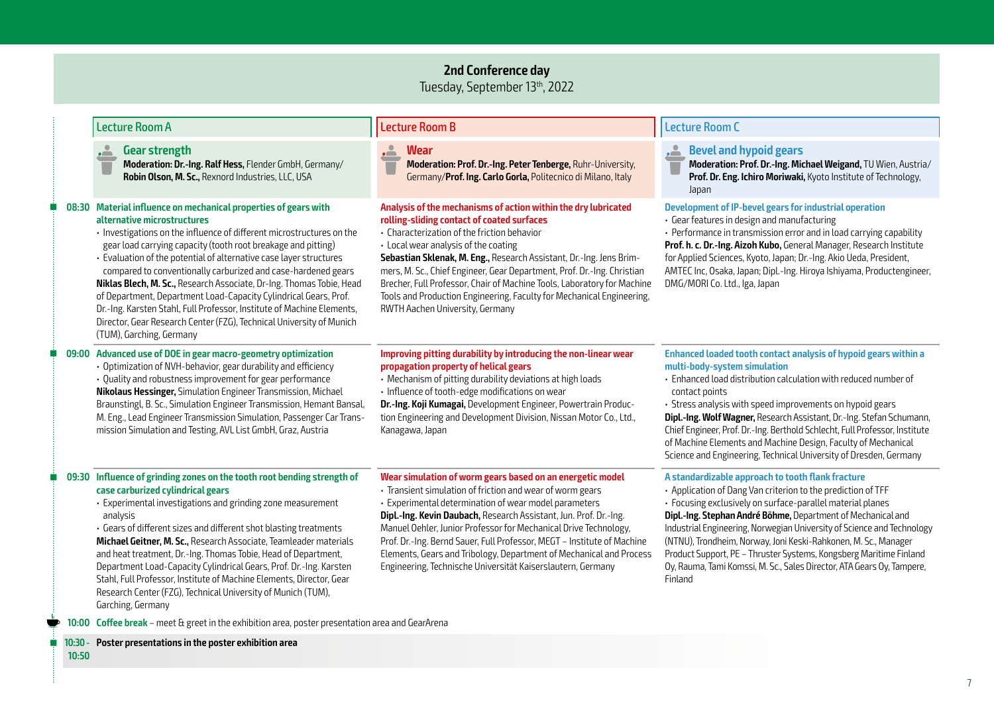### **2nd Conference day**

Tuesday, September 13th, 2022

|  | <b>Lecture Room A</b>                                                                                                                                                                                                                                                                                                                                                                                                                                                                                                                                                                                                                                                                                     | <b>Lecture Room B</b>                                                                                                                                                                                                                                                                                                                                                                                                                                                                                                                        | <b>Lecture Room C</b>                                                                                                                                                                                                                                                                                                                                                                                                                                                                                                                                   |
|--|-----------------------------------------------------------------------------------------------------------------------------------------------------------------------------------------------------------------------------------------------------------------------------------------------------------------------------------------------------------------------------------------------------------------------------------------------------------------------------------------------------------------------------------------------------------------------------------------------------------------------------------------------------------------------------------------------------------|----------------------------------------------------------------------------------------------------------------------------------------------------------------------------------------------------------------------------------------------------------------------------------------------------------------------------------------------------------------------------------------------------------------------------------------------------------------------------------------------------------------------------------------------|---------------------------------------------------------------------------------------------------------------------------------------------------------------------------------------------------------------------------------------------------------------------------------------------------------------------------------------------------------------------------------------------------------------------------------------------------------------------------------------------------------------------------------------------------------|
|  | Gear strength<br>$\sum_{i=1}^{n}$<br>Moderation: Dr.-Ing. Ralf Hess, Flender GmbH, Germany/<br>Robin Olson, M. Sc., Rexnord Industries, LLC, USA                                                                                                                                                                                                                                                                                                                                                                                                                                                                                                                                                          | <u>. 2.</u><br><b>Wear</b><br>Moderation: Prof. Dr.-Ing. Peter Tenberge, Ruhr-University,<br>Germany/Prof. Ing. Carlo Gorla, Politecnico di Milano, Italy                                                                                                                                                                                                                                                                                                                                                                                    | <b>Bevel and hypoid gears</b><br>$\sum$<br>Moderation: Prof. Dr.-Ing. Michael Weigand, TU Wien, Austria/<br>Prof. Dr. Eng. Ichiro Moriwaki, Kyoto Institute of Technology,<br>Japan                                                                                                                                                                                                                                                                                                                                                                     |
|  | 08:30 Material influence on mechanical properties of gears with<br>alternative microstructures<br>· Investigations on the influence of different microstructures on the<br>gear load carrying capacity (tooth root breakage and pitting)<br>· Evaluation of the potential of alternative case layer structures<br>compared to conventionally carburized and case-hardened gears<br>Niklas Blech, M. Sc., Research Associate, Dr-Ing. Thomas Tobie, Head<br>of Department, Department Load-Capacity Cylindrical Gears, Prof.<br>Dr.-Ing. Karsten Stahl, Full Professor, Institute of Machine Elements,<br>Director, Gear Research Center (FZG), Technical University of Munich<br>(TUM), Garching, Germany | Analysis of the mechanisms of action within the dry lubricated<br>rolling-sliding contact of coated surfaces<br>• Characterization of the friction behavior<br>• Local wear analysis of the coating<br>Sebastian Sklenak, M. Eng., Research Assistant, Dr.-Ing. Jens Brim-<br>mers, M. Sc., Chief Engineer, Gear Department, Prof. Dr.-Ing. Christian<br>Brecher, Full Professor, Chair of Machine Tools, Laboratory for Machine<br>Tools and Production Engineering, Faculty for Mechanical Engineering,<br>RWTH Aachen University, Germany | Development of IP-bevel gears for industrial operation<br>· Gear features in design and manufacturing<br>• Performance in transmission error and in load carrying capability<br>Prof. h. c. Dr.-Ing. Aizoh Kubo, General Manager, Research Institute<br>for Applied Sciences, Kyoto, Japan; Dr.-Ing. Akio Ueda, President,<br>AMTEC Inc, Osaka, Japan; Dipl.-Ing. Hiroya Ishiyama, Productengineer,<br>DMG/MORI Co. Ltd., Iga, Japan                                                                                                                    |
|  | 09:00 Advanced use of DOE in gear macro-geometry optimization<br>· Optimization of NVH-behavior, gear durability and efficiency<br>· Quality and robustness improvement for gear performance<br>Nikolaus Hessinger, Simulation Engineer Transmission, Michael<br>Braunstingl, B. Sc., Simulation Engineer Transmission, Hemant Bansal,<br>M. Eng., Lead Engineer Transmission Simulation, Passenger Car Trans-<br>mission Simulation and Testing, AVL List GmbH, Graz, Austria                                                                                                                                                                                                                            | Improving pitting durability by introducing the non-linear wear<br>propagation property of helical gears<br>· Mechanism of pitting durability deviations at high loads<br>· Influence of tooth-edge modifications on wear<br>Dr.-Ing. Koji Kumagai, Development Engineer, Powertrain Produc-<br>tion Engineering and Development Division, Nissan Motor Co., Ltd.,<br>Kanagawa, Japan                                                                                                                                                        | Enhanced loaded tooth contact analysis of hypoid gears within a<br>multi-body-system simulation<br>· Enhanced load distribution calculation with reduced number of<br>contact points<br>· Stress analysis with speed improvements on hypoid gears<br>Dipl.-Ing. Wolf Wagner, Research Assistant, Dr.-Ing. Stefan Schumann,<br>Chief Engineer, Prof. Dr.-Ing. Berthold Schlecht, Full Professor, Institute<br>of Machine Elements and Machine Design, Faculty of Mechanical<br>Science and Engineering, Technical University of Dresden, Germany         |
|  | 09:30 Influence of grinding zones on the tooth root bending strength of<br>case carburized cylindrical gears<br>· Experimental investigations and grinding zone measurement<br>analysis<br>· Gears of different sizes and different shot blasting treatments<br>Michael Geitner, M. Sc., Research Associate, Teamleader materials<br>and heat treatment, Dr.-Ing. Thomas Tobie, Head of Department,<br>Department Load-Capacity Cylindrical Gears, Prof. Dr.-Ing. Karsten<br>Stahl, Full Professor, Institute of Machine Elements, Director, Gear<br>Research Center (FZG), Technical University of Munich (TUM),<br>Garching, Germany                                                                    | Wear simulation of worm gears based on an energetic model<br>· Transient simulation of friction and wear of worm gears<br>· Experimental determination of wear model parameters<br>Dipl.-Ing. Kevin Daubach, Research Assistant, Jun. Prof. Dr.-Ing.<br>Manuel Oehler, Junior Professor for Mechanical Drive Technology,<br>Prof. Dr.-Ing. Bernd Sauer, Full Professor, MEGT - Institute of Machine<br>Elements, Gears and Tribology, Department of Mechanical and Process<br>Engineering, Technische Universität Kaiserslautern, Germany    | A standardizable approach to tooth flank fracture<br>• Application of Dang Van criterion to the prediction of TFF<br>· Focusing exclusively on surface-parallel material planes<br>Dipl.-Ing. Stephan André Böhme, Department of Mechanical and<br>Industrial Engineering, Norwegian University of Science and Technology<br>(NTNU), Trondheim, Norway, Joni Keski-Rahkonen, M. Sc., Manager<br>Product Support, PE - Thruster Systems, Kongsberg Maritime Finland<br>Oy, Rauma, Tami Komssi, M. Sc., Sales Director, ATA Gears Oy, Tampere,<br>Finland |
|  | 10:00 Coffee break - meet & greet in the exhibition area, poster presentation area and GearArena                                                                                                                                                                                                                                                                                                                                                                                                                                                                                                                                                                                                          |                                                                                                                                                                                                                                                                                                                                                                                                                                                                                                                                              |                                                                                                                                                                                                                                                                                                                                                                                                                                                                                                                                                         |
|  |                                                                                                                                                                                                                                                                                                                                                                                                                                                                                                                                                                                                                                                                                                           |                                                                                                                                                                                                                                                                                                                                                                                                                                                                                                                                              |                                                                                                                                                                                                                                                                                                                                                                                                                                                                                                                                                         |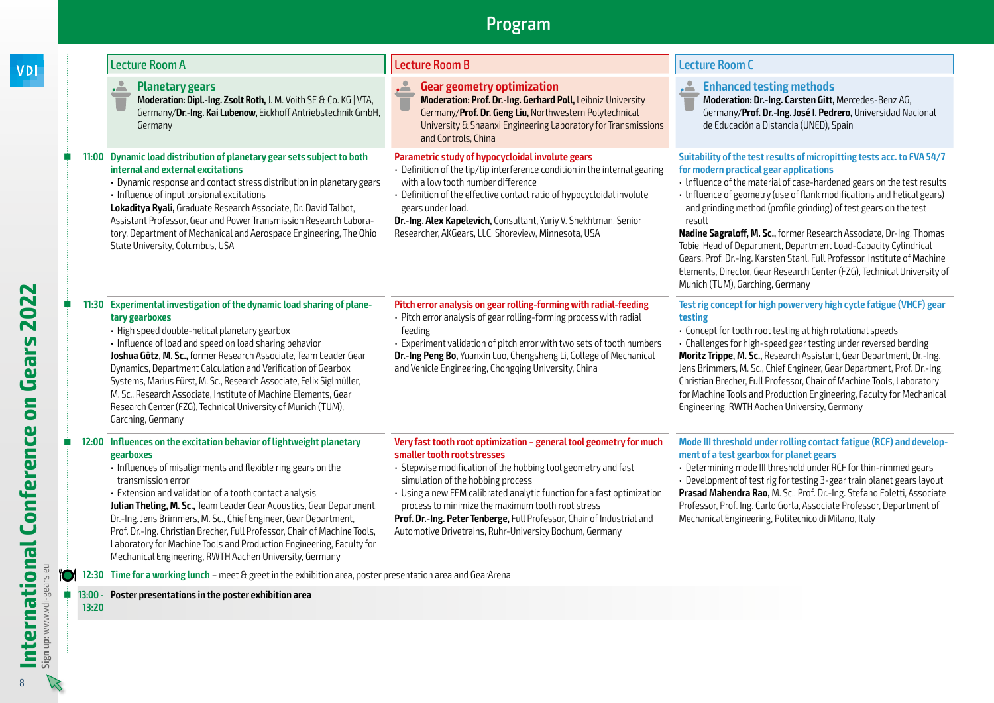**tary gearboxes**

Garching, Germany

### **Planetary gears**

**Moderation: Dipl.-Ing. Zsolt Roth,** J. M. Voith SE & Co. KG | VTA, Germany/**Dr.-Ing. Kai Lubenow,** Eickhoff Antriebstechnik GmbH, Germany

### **11:00 Dynamic load distribution of planetary gear sets subject to both internal and external excitations**

**11:30 Experimental investigation of the dynamic load sharing of plane-**

**Joshua Götz, M. Sc.,** former Research Associate, Team Leader Gear Dynamics, Department Calculation and Verification of Gearbox Systems, Marius Fürst, M. Sc., Research Associate, Felix Siglmüller, M. Sc., Research Associate, Institute of Machine Elements, Gear Research Center (FZG), Technical University of Munich (TUM),

• High speed double-helical planetary gearbox • Influence of load and speed on load sharing behavior

- Dynamic response and contact stress distribution in planetary gears
- Influence of input torsional excitations

**Lokaditya Ryali,** Graduate Research Associate, Dr. David Talbot, Assistant Professor, Gear and Power Transmission Research Laboratory, Department of Mechanical and Aerospace Engineering, The Ohio State University, Columbus, USA

### Lecture Room A Lecture Room B Lecture Room C

feeding

### **Gear geometry optimization**

**Moderation: Prof. Dr.-Ing. Gerhard Poll,** Leibniz University Germany/**Prof. Dr. Geng Liu,** Northwestern Polytechnical University & Shaanxi Engineering Laboratory for Transmissions and Controls, China

### **Parametric study of hypocycloidal involute gears**

- Definition of the tip/tip interference condition in the internal gearing with a low tooth number difference
- Definition of the effective contact ratio of hypocycloidal involute gears under load.

**Dr.-Ing. Alex Kapelevich,** Consultant, Yuriy V. Shekhtman, Senior Researcher, AKGears, LLC, Shoreview, Minnesota, USA

**Pitch error analysis on gear rolling-forming with radial-feeding** • Pitch error analysis of gear rolling-forming process with radial

• Experiment validation of pitch error with two sets of tooth numbers **Dr.-Ing Peng Bo,** Yuanxin Luo, Chengsheng Li, College of Mechanical

and Vehicle Engineering, Chongqing University, China

### **Enhanced testing methods**

**Moderation: Dr.-Ing. Carsten Gitt,** Mercedes-Benz AG, Germany/**Prof. Dr.-Ing. José I. Pedrero,** Universidad Nacional de Educación a Distancia (UNED), Spain

### **Suitability of the test results of micropitting tests acc. to FVA 54/7 for modern practical gear applications**

- lnfluence of the material of case-hardened gears on the test results
- lnfluence of geometry (use of flank modifications and helical gears) and grinding method (profile grinding) of test gears on the test result

**Nadine Sagraloff, M. Sc.,** former Research Associate, Dr-Ing. Thomas Tobie, Head of Department, Department Load-Capacity Cylindrical Gears, Prof. Dr.-Ing. Karsten Stahl, Full Professor, Institute of Machine Elements, Director, Gear Research Center (FZG), Technical University of Munich (TUM), Garching, Germany

### **Test rig concept for high power very high cycle fatigue (VHCF) gear testing**

• Concept for tooth root testing at high rotational speeds

• Challenges for high-speed gear testing under reversed bending **Moritz Trippe, M. Sc.,** Research Assistant, Gear Department, Dr.-Ing. Jens Brimmers, M. Sc., Chief Engineer, Gear Department, Prof. Dr.-Ing. Christian Brecher, Full Professor, Chair of Machine Tools, Laboratory for Machine Tools and Production Engineering, Faculty for Mechanical Engineering, RWTH Aachen University, Germany

### **12:00 Influences on the excitation behavior of lightweight planetary gearboxes**

- Influences of misalignments and flexible ring gears on the transmission error
- Extension and validation of a tooth contact analysis

**Julian Theling, M. Sc.,** Team Leader Gear Acoustics, Gear Department, Dr.-Ing. Jens Brimmers, M. Sc., Chief Engineer, Gear Department, Prof. Dr.-Ing. Christian Brecher, Full Professor, Chair of Machine Tools, Laboratory for Machine Tools and Production Engineering, Faculty for Mechanical Engineering, RWTH Aachen University, Germany

### **Very fast tooth root optimization – general tool geometry for much smaller tooth root stresses**

- Stepwise modification of the hobbing tool geometry and fast simulation of the hobbing process
- Using a new FEM calibrated analytic function for a fast optimization process to minimize the maximum tooth root stress

**Prof. Dr.-Ing. Peter Tenberge,** Full Professor, Chair of Industrial and Automotive Drivetrains, Ruhr-University Bochum, Germany

### **Mode III threshold under rolling contact fatigue (RCF) and development of a test gearbox for planet gears**

• Determining mode III threshold under RCF for thin-rimmed gears

• Development of test rig for testing 3-gear train planet gears layout **Prasad Mahendra Rao,** M. Sc., Prof. Dr.-Ing. Stefano Foletti, Associate Professor, Prof. Ing. Carlo Gorla, Associate Professor, Department of Mechanical Engineering, Politecnico di Milano, Italy

**12:30 Time for a working lunch** – meet & greet in the exhibition area, poster presentation area and GearArena

#### **13:00 - Poster presentations in the poster exhibition area**

**13:20**

**VDI**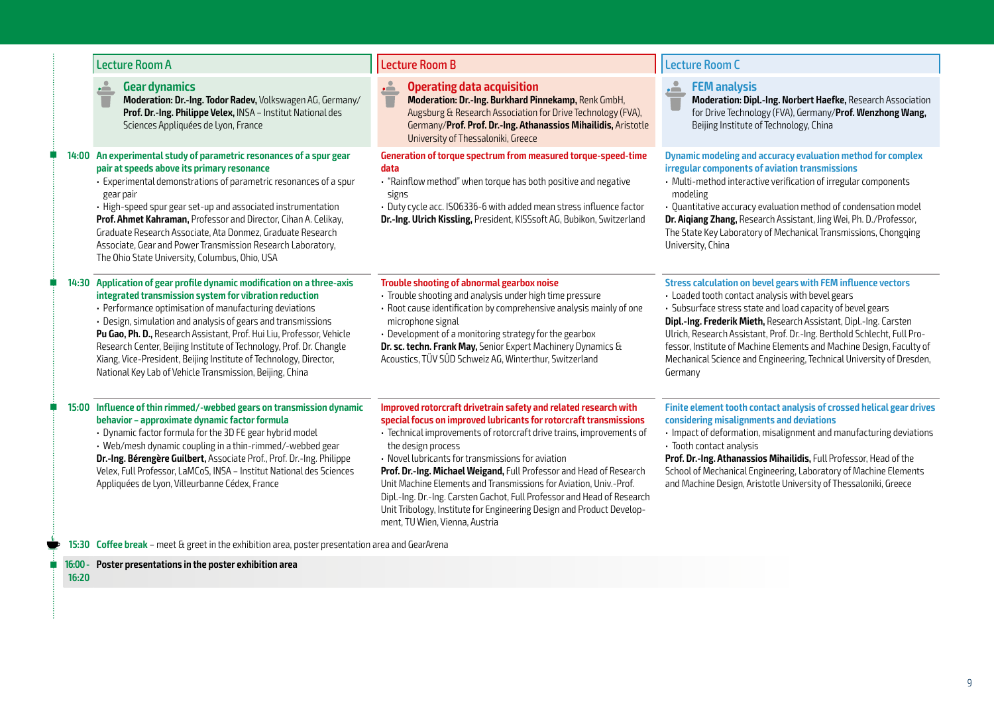|  | <b>Lecture Room A</b>                                                                                                                                                                                                                                                                                                                                                                                                                                                                                                                       | <b>Lecture Room B</b>                                                                                                                                                                                                                                                                                                                                                                                                                                                                                                                                                                                                     | <b>Lecture Room C</b>                                                                                                                                                                                                                                                                                                                                                                                                                                                                     |
|--|---------------------------------------------------------------------------------------------------------------------------------------------------------------------------------------------------------------------------------------------------------------------------------------------------------------------------------------------------------------------------------------------------------------------------------------------------------------------------------------------------------------------------------------------|---------------------------------------------------------------------------------------------------------------------------------------------------------------------------------------------------------------------------------------------------------------------------------------------------------------------------------------------------------------------------------------------------------------------------------------------------------------------------------------------------------------------------------------------------------------------------------------------------------------------------|-------------------------------------------------------------------------------------------------------------------------------------------------------------------------------------------------------------------------------------------------------------------------------------------------------------------------------------------------------------------------------------------------------------------------------------------------------------------------------------------|
|  | <b>Gear dynamics</b><br>Moderation: Dr.-Ing. Todor Radev, Volkswagen AG, Germany/<br>Prof. Dr.-Ing. Philippe Velex, INSA - Institut National des<br>Sciences Appliquées de Lyon, France                                                                                                                                                                                                                                                                                                                                                     | <b>Operating data acquisition</b><br>ė<br>Moderation: Dr.-Ing. Burkhard Pinnekamp, Renk GmbH,<br>Augsburg & Research Association for Drive Technology (FVA),<br>Germany/Prof. Prof. Dr.-Ing. Athanassios Mihailidis, Aristotle<br>University of Thessaloniki, Greece                                                                                                                                                                                                                                                                                                                                                      | <b>FEM analysis</b><br>$\sim$<br>Moderation: Dipl.-Ing. Norbert Haefke, Research Association<br>for Drive Technology (FVA), Germany/Prof. Wenzhong Wang,<br>Beijing Institute of Technology, China                                                                                                                                                                                                                                                                                        |
|  | 14:00 An experimental study of parametric resonances of a spur gear<br>pair at speeds above its primary resonance<br>· Experimental demonstrations of parametric resonances of a spur<br>gear pair<br>· High-speed spur gear set-up and associated instrumentation<br>Prof. Ahmet Kahraman, Professor and Director, Cihan A. Celikay,<br>Graduate Research Associate, Ata Donmez, Graduate Research<br>Associate, Gear and Power Transmission Research Laboratory,<br>The Ohio State University, Columbus, Ohio, USA                        | Generation of torque spectrum from measured torque-speed-time<br>data<br>. "Rainflow method" when torque has both positive and negative<br>signs<br>· Duty cycle acc. ISO6336-6 with added mean stress influence factor<br>Dr.-Ing. Ulrich Kissling, President, KISSsoft AG, Bubikon, Switzerland                                                                                                                                                                                                                                                                                                                         | Dynamic modeling and accuracy evaluation method for complex<br>irregular components of aviation transmissions<br>• Multi-method interactive verification of irregular components<br>modeling<br>· Quantitative accuracy evaluation method of condensation model<br>Dr. Aigiang Zhang, Research Assistant, Jing Wei, Ph. D./Professor,<br>The State Key Laboratory of Mechanical Transmissions, Chongqing<br>University, China                                                             |
|  | 14:30 Application of gear profile dynamic modification on a three-axis<br>integrated transmission system for vibration reduction<br>· Performance optimisation of manufacturing deviations<br>· Design, simulation and analysis of gears and transmissions<br>Pu Gao, Ph. D., Research Assistant, Prof. Hui Liu, Professor, Vehicle<br>Research Center, Beijing Institute of Technology, Prof. Dr. Changle<br>Xiang, Vice-President, Beijing Institute of Technology, Director,<br>National Key Lab of Vehicle Transmission, Beijing, China | Trouble shooting of abnormal gearbox noise<br>· Trouble shooting and analysis under high time pressure<br>· Root cause identification by comprehensive analysis mainly of one<br>microphone signal<br>• Development of a monitoring strategy for the gearbox<br>Dr. sc. techn. Frank May, Senior Expert Machinery Dynamics &<br>Acoustics, TÜV SÜD Schweiz AG, Winterthur, Switzerland                                                                                                                                                                                                                                    | Stress calculation on bevel gears with FEM influence vectors<br>· Loaded tooth contact analysis with bevel gears<br>• Subsurface stress state and load capacity of bevel gears<br>Dipl.-Ing. Frederik Mieth, Research Assistant, Dipl.-Ing. Carsten<br>Ulrich, Research Assistant, Prof. Dr.-Ing. Berthold Schlecht, Full Pro-<br>fessor, Institute of Machine Elements and Machine Design, Faculty of<br>Mechanical Science and Engineering, Technical University of Dresden,<br>Germany |
|  | 15:00 Influence of thin rimmed/-webbed gears on transmission dynamic<br>behavior - approximate dynamic factor formula<br>• Dynamic factor formula for the 3D FE gear hybrid model<br>• Web/mesh dynamic coupling in a thin-rimmed/-webbed gear<br>Dr.-Ing. Bérengère Guilbert, Associate Prof., Prof. Dr.-Ing. Philippe<br>Velex, Full Professor, LaMCoS, INSA - Institut National des Sciences<br>Appliquées de Lyon, Villeurbanne Cédex, France                                                                                           | Improved rotorcraft drivetrain safety and related research with<br>special focus on improved lubricants for rotorcraft transmissions<br>· Technical improvements of rotorcraft drive trains, improvements of<br>the design process<br>• Novel lubricants for transmissions for aviation<br>Prof. Dr.-Ing. Michael Weigand, Full Professor and Head of Research<br>Unit Machine Elements and Transmissions for Aviation, Univ.-Prof.<br>Dipl.-Ing. Dr.-Ing. Carsten Gachot, Full Professor and Head of Research<br>Unit Tribology, Institute for Engineering Design and Product Develop-<br>ment, TU Wien, Vienna, Austria | Finite element tooth contact analysis of crossed helical gear drives<br>considering misalignments and deviations<br>· Impact of deformation, misalignment and manufacturing deviations<br>· Tooth contact analysis<br>Prof. Dr.-Ing. Athanassios Mihailidis, Full Professor, Head of the<br>School of Mechanical Engineering, Laboratory of Machine Elements<br>and Machine Design, Aristotle University of Thessaloniki, Greece                                                          |
|  | 15:30 Coffee break - meet & greet in the exhibition area, poster presentation area and GearArena                                                                                                                                                                                                                                                                                                                                                                                                                                            |                                                                                                                                                                                                                                                                                                                                                                                                                                                                                                                                                                                                                           |                                                                                                                                                                                                                                                                                                                                                                                                                                                                                           |

**16:00 - Poster presentations in the poster exhibition area**

**16:20**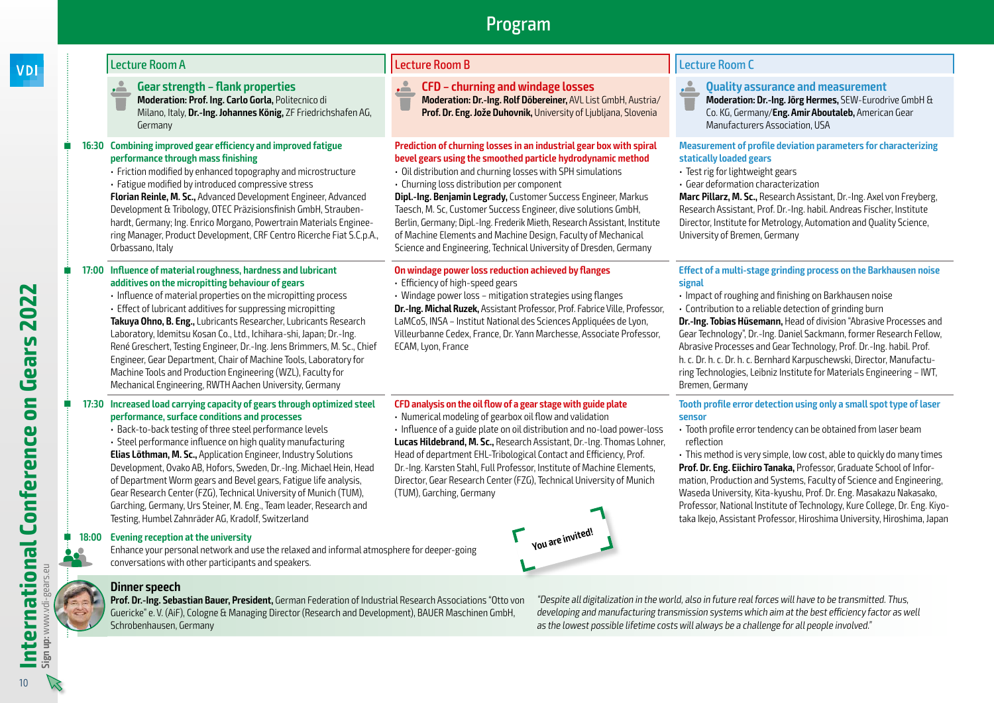- **Gear strength flank properties**
- **Moderation: Prof. Ing. Carlo Gorla,** Politecnico di Milano, Italy, **Dr.-Ing. Johannes König,** ZF Friedrichshafen AG, Germany

### **16:30 Combining improved gear efficiency and improved fatigue performance through mass finishing**

### • Friction modified by enhanced topography and microstructure

- Fatigue modified by introduced compressive stress
- **Florian Reinle, M. Sc.,** Advanced Development Engineer, Advanced Development & Tribology, OTEC Präzisionsfinish GmbH, Straubenhardt, Germany; Ing. Enrico Morgano, Powertrain Materials Engineering Manager, Product Development, CRF Centro Ricerche Fiat S.C.p.A., Orbassano, Italy

### **17:00 Influence of material roughness, hardness and lubricant additives on the micropitting behaviour of gears**

• Influence of material properties on the micropitting process

Machine Tools and Production Engineering (WZL), Faculty for Mechanical Engineering, RWTH Aachen University, Germany

**17:30 Increased load carrying capacity of gears through optimized steel** 

**performance, surface conditions and processes** • Back-to-back testing of three steel performance levels • Steel performance influence on high quality manufacturing **Elias Löthman, M. Sc.,** Application Engineer, Industry Solutions

• Effect of lubricant additives for suppressing micropitting **Takuya Ohno, B. Eng.,** Lubricants Researcher, Lubricants Research Laboratory, Idemitsu Kosan Co., Ltd., Ichihara-shi, Japan; Dr.-Ing. René Greschert, Testing Engineer, Dr.-Ing. Jens Brimmers, M. Sc., Chief Engineer, Gear Department, Chair of Machine Tools, Laboratory for

- **CFD churning and windage losses**
- **Moderation: Dr.-Ing. Rolf Döbereiner,** AVL List GmbH, Austria/ **Prof. Dr. Eng. Jože Duhovnik,** University of Ljubljana, Slovenia

### **Prediction of churning losses in an industrial gear box with spiral bevel gears using the smoothed particle hydrodynamic method**

- Oil distribution and churning losses with SPH simulations • Churning loss distribution per component
- **Dipl.-Ing. Benjamin Legrady,** Customer Success Engineer, Markus Taesch, M. Sc, Customer Success Engineer, dive solutions GmbH, Berlin, Germany; Dipl.-Ing. Frederik Mieth, Research Assistant, Institute of Machine Elements and Machine Design, Faculty of Mechanical Science and Engineering, Technical University of Dresden, Germany

### **On windage power loss reduction achieved by flanges**

- Efficiency of high-speed gears
- Windage power loss mitigation strategies using flanges

**Dr.-Ing. Michal Ruzek,** Assistant Professor, Prof. Fabrice Ville, Professor, LaMCoS, INSA – Institut National des Sciences Appliquées de Lyon, Villeurbanne Cedex, France, Dr. Yann Marchesse, Associate Professor, ECAM, Lyon, France

### **CFD analysis on the oil flow of a gear stage with guide plate**

• Numerical modeling of gearbox oil flow and validation

• Influence of a guide plate on oil distribution and no-load power-loss **Lucas Hildebrand, M. Sc.,** Research Assistant, Dr.-lng. Thomas Lohner, Head of department EHL-Tribological Contact and Efficiency, Prof. Dr.-Ing. Karsten Stahl, Full Professor, Institute of Machine Elements, Director, Gear Research Center (FZG), Technical University of Munich (TUM), Garching, Germany

# **You are invited!**

### Lecture Room A Lecture Room B Lecture Room C

- **Quality assurance and measurement**
- **Moderation: Dr.-Ing. Jörg Hermes,** SEW-Eurodrive GmbH & Co. KG, Germany/**Eng. Amir Aboutaleb,** American Gear Manufacturers Association, USA

### **Measurement of profile deviation parameters for characterizing statically loaded gears**

- Test rig for lightweight gears
- Gear deformation characterization

**Marc Pillarz, M. Sc.,** Research Assistant, Dr.-Ing. Axel von Freyberg, Research Assistant, Prof. Dr.-Ing. habil. Andreas Fischer, Institute Director, Institute for Metrology, Automation and Quality Science, University of Bremen, Germany

### **Effect of a multi-stage grinding process on the Barkhausen noise signal**

- Impact of roughing and finishing on Barkhausen noise
- Contribution to a reliable detection of grinding burn

**Dr.-Ing. Tobias Hüsemann,** Head of division "Abrasive Processes and Gear Technology", Dr.-Ing. Daniel Sackmann, former Research Fellow, Abrasive Processes and Gear Technology, Prof. Dr.-Ing. habil. Prof. h. c. Dr. h. c. Dr. h. c. Bernhard Karpuschewski, Director, Manufacturing Technologies, Leibniz Institute for Materials Engineering – IWT, Bremen, Germany

### **Tooth profile error detection using only a small spot type of laser sensor**

• Tooth profile error tendency can be obtained from laser beam reflection

• This method is very simple, low cost, able to quickly do many times **Prof. Dr. Eng. Eiichiro Tanaka,** Professor, Graduate School of Information, Production and Systems, Faculty of Science and Engineering, Waseda University, Kita-kyushu, Prof. Dr. Eng. Masakazu Nakasako, Professor, National Institute of Technology, Kure College, Dr. Eng. Kiyotaka Ikejo, Assistant Professor, Hiroshima University, Hiroshima, Japan

### Development, Ovako AB, Hofors, Sweden, Dr.-Ing. Michael Hein, Head of Department Worm gears and Bevel gears, Fatigue life analysis, Gear Research Center (FZG), Technical University of Munich (TUM), Garching, Germany, Urs Steiner, M. Eng., Team leader, Research and Testing, Humbel Zahnräder AG, Kradolf, Switzerland

**18:00 Evening reception at the university** 

Enhance your personal network and use the relaxed and informal atmosphere for deeper-going conversations with other participants and speakers.



### **Dinner speech**

**Prof. Dr.-Ing. Sebastian Bauer, President,** German Federation of Industrial Research Associations "Otto von Guericke" e. V. (AiF), Cologne & Managing Director (Research and Development), BAUER Maschinen GmbH, Schrobenhausen, Germany

"Despite all digitalization in the world, also in future real forces will have to be transmitted. Thus, developing and manufacturing transmission systems which aim at the best efficiency factor as well as the lowest possible lifetime costs will always be a challenge for all people involved."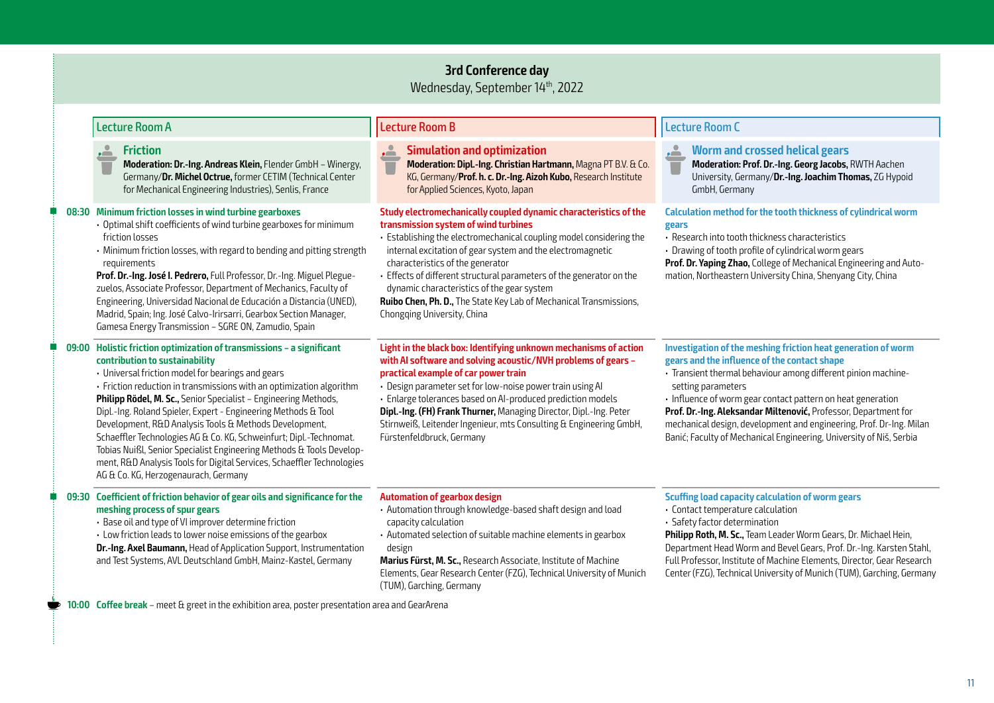### **3rd Conference day**

Wednesday, September 14th, 2022

|  | Lecture Room A                                                                                                                                                                                                                                                                                                                                                                                                                                                                                                                                                                                                                                                                                      | <b>Lecture Room B</b>                                                                                                                                                                                                                                                                                                                                                                                                                                                                                        | <b>Lecture Room C</b>                                                                                                                                                                                                                                                                                                                                                                                                                                                                |
|--|-----------------------------------------------------------------------------------------------------------------------------------------------------------------------------------------------------------------------------------------------------------------------------------------------------------------------------------------------------------------------------------------------------------------------------------------------------------------------------------------------------------------------------------------------------------------------------------------------------------------------------------------------------------------------------------------------------|--------------------------------------------------------------------------------------------------------------------------------------------------------------------------------------------------------------------------------------------------------------------------------------------------------------------------------------------------------------------------------------------------------------------------------------------------------------------------------------------------------------|--------------------------------------------------------------------------------------------------------------------------------------------------------------------------------------------------------------------------------------------------------------------------------------------------------------------------------------------------------------------------------------------------------------------------------------------------------------------------------------|
|  | <b>Friction</b><br>$\sim$<br>Moderation: Dr.-Ing. Andreas Klein, Flender GmbH - Winergy,<br>Germany/Dr. Michel Octrue, former CETIM (Technical Center<br>for Mechanical Engineering Industries), Senlis, France                                                                                                                                                                                                                                                                                                                                                                                                                                                                                     | É<br><b>Simulation and optimization</b><br>Moderation: Dipl.-Ing. Christian Hartmann, Magna PT B.V. & Co.<br>KG, Germany/Prof. h. c. Dr.-Ing. Aizoh Kubo, Research Institute<br>for Applied Sciences, Kyoto, Japan                                                                                                                                                                                                                                                                                           | <u>ے .</u><br><b>Worm and crossed helical gears</b><br>Moderation: Prof. Dr.-Ing. Georg Jacobs, RWTH Aachen<br>University, Germany/Dr.-Ing. Joachim Thomas, ZG Hypoid<br>GmbH, Germany                                                                                                                                                                                                                                                                                               |
|  | 08:30 Minimum friction losses in wind turbine gearboxes<br>• Optimal shift coefficients of wind turbine gearboxes for minimum<br>friction losses<br>• Minimum friction losses, with regard to bending and pitting strength<br>requirements<br>Prof. Dr.-Ing. José I. Pedrero, Full Professor, Dr.-Ing. Miguel Plegue-<br>zuelos, Associate Professor, Department of Mechanics, Faculty of<br>Engineering, Universidad Nacional de Educación a Distancia (UNED),<br>Madrid, Spain; Ing. José Calvo-Irirsarri, Gearbox Section Manager,<br>Gamesa Energy Transmission - SGRE ON, Zamudio, Spain                                                                                                       | Study electromechanically coupled dynamic characteristics of the<br>transmission system of wind turbines<br>· Establishing the electromechanical coupling model considering the<br>internal excitation of gear system and the electromagnetic<br>characteristics of the generator<br>• Effects of different structural parameters of the generator on the<br>dynamic characteristics of the gear system<br>Ruibo Chen, Ph. D., The State Key Lab of Mechanical Transmissions,<br>Chongqing University, China | Calculation method for the tooth thickness of cylindrical worm<br>gears<br>· Research into tooth thickness characteristics<br>· Drawing of tooth profile of cylindrical worm gears<br>Prof. Dr. Yaping Zhao, College of Mechanical Engineering and Auto-<br>mation, Northeastern University China, Shenyang City, China                                                                                                                                                              |
|  | 09:00 Holistic friction optimization of transmissions - a significant<br>contribution to sustainability<br>· Universal friction model for bearings and gears<br>• Friction reduction in transmissions with an optimization algorithm<br>Philipp Rödel, M. Sc., Senior Specialist - Engineering Methods,<br>Dipl.-Ing. Roland Spieler, Expert - Engineering Methods & Tool<br>Development, R&D Analysis Tools & Methods Development,<br>Schaeffler Technologies AG & Co. KG, Schweinfurt; Dipl.-Technomat.<br>Tobias Nuißl, Senior Specialist Engineering Methods & Tools Develop-<br>ment, R&D Analysis Tools for Digital Services, Schaeffler Technologies<br>AG & Co. KG, Herzogenaurach, Germany | Light in the black box: Identifying unknown mechanisms of action<br>with AI software and solving acoustic/NVH problems of gears -<br>practical example of car power train<br>· Design parameter set for low-noise power train using AI<br>· Enlarge tolerances based on AI-produced prediction models<br>Dipl.-Ing. (FH) Frank Thurner, Managing Director, Dipl.-Ing. Peter<br>Stirnweiß, Leitender Ingenieur, mts Consulting & Engineering GmbH,<br>Fürstenfeldbruck, Germany                               | Investigation of the meshing friction heat generation of worm<br>gears and the influence of the contact shape<br>· Transient thermal behaviour among different pinion machine-<br>setting parameters<br>· Influence of worm gear contact pattern on heat generation<br>Prof. Dr.-Ing. Aleksandar Miltenović, Professor, Department for<br>mechanical design, development and engineering, Prof. Dr-Ing. Milan<br>Banić; Faculty of Mechanical Engineering, University of Niš, Serbia |
|  | 09:30 Coefficient of friction behavior of gear oils and significance for the<br>meshing process of spur gears<br>· Base oil and type of VI improver determine friction<br>• Low friction leads to lower noise emissions of the gearbox<br>Dr.-Ing. Axel Baumann, Head of Application Support, Instrumentation<br>and Test Systems, AVL Deutschland GmbH, Mainz-Kastel, Germany                                                                                                                                                                                                                                                                                                                      | <b>Automation of gearbox design</b><br>· Automation through knowledge-based shaft design and load<br>capacity calculation<br>· Automated selection of suitable machine elements in gearbox<br>design<br>Marius Fürst, M. Sc., Research Associate, Institute of Machine<br>Elements, Gear Research Center (FZG), Technical University of Munich<br>(TUM), Garching, Germany                                                                                                                                   | <b>Scuffing load capacity calculation of worm gears</b><br>· Contact temperature calculation<br>· Safety factor determination<br>Philipp Roth, M. Sc., Team Leader Worm Gears, Dr. Michael Hein,<br>Department Head Worm and Bevel Gears, Prof. Dr.-Ing. Karsten Stahl,<br>Full Professor, Institute of Machine Elements, Director, Gear Research<br>Center (FZG), Technical University of Munich (TUM), Garching, Germany                                                           |
|  | 10:00 Coffee break - meet & greet in the exhibition area, poster presentation area and GearArena                                                                                                                                                                                                                                                                                                                                                                                                                                                                                                                                                                                                    |                                                                                                                                                                                                                                                                                                                                                                                                                                                                                                              |                                                                                                                                                                                                                                                                                                                                                                                                                                                                                      |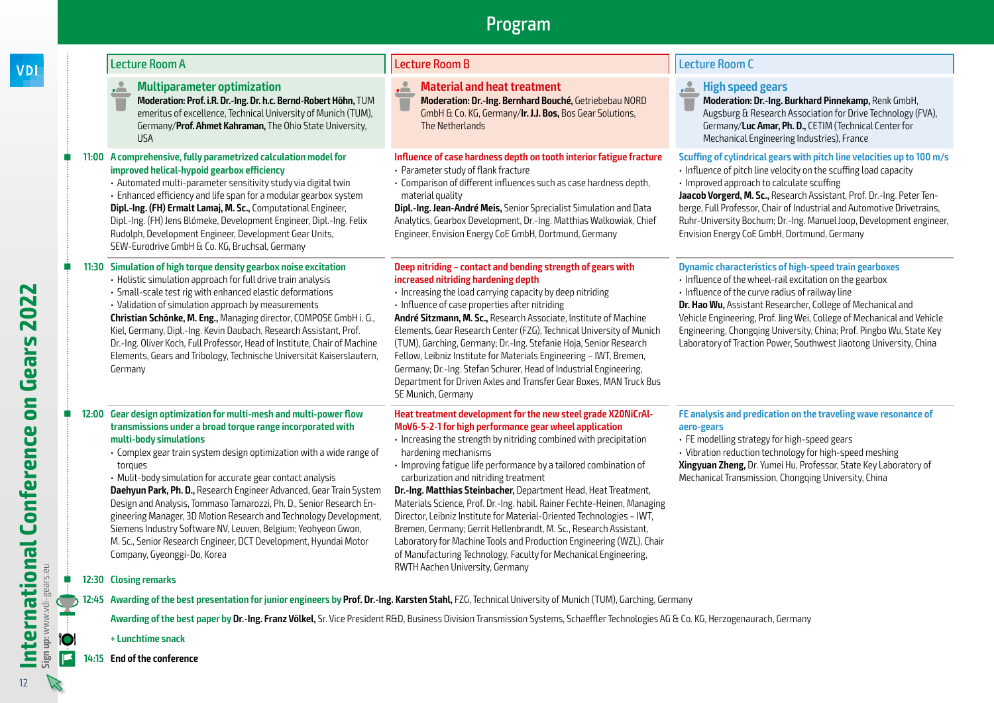### **VDI**

### **Multiparameter optimization**

**Moderation: Prof. i.R. Dr.-Ing. Dr. h.c. Bernd-Robert Höhn,** TUM emeritus of excellence, Technical University of Munich (TUM), Germany/**Prof. Ahmet Kahraman,** The Ohio State University, USA

### **11:00 A comprehensive, fully parametrized calculation model for improved helical-hypoid gearbox efficiency**

• Automated multi-parameter sensitivity study via digital twin

• Enhanced efficiency and life span for a modular gearbox system **Dipl.-Ing. (FH) Ermalt Lamaj, M. Sc.,** Computational Engineer, Dipl.-Ing. (FH) Jens Blömeke, Development Engineer, Dipl.-Ing. Felix Rudolph, Development Engineer, Development Gear Units, SEW-Eurodrive GmbH & Co. KG, Bruchsal, Germany

### **11:30 Simulation of high torque density gearbox noise excitation**

- Holistic simulation approach for full drive train analysis
- Small-scale test rig with enhanced elastic deformations
- Validation of simulation approach by measurements

**Christian Schönke, M. Eng.,** Managing director, COMPOSE GmbH i. G., Kiel, Germany, Dipl.-Ing. Kevin Daubach, Research Assistant, Prof. Dr.-Ing. Oliver Koch, Full Professor, Head of Institute, Chair of Machine Elements, Gears and Tribology, Technische Universität Kaiserslautern, Germany

#### **12:00 Gear design optimization for multi-mesh and multi-power flow transmissions under a broad torque range incorporated with multi-body simulations**

• Complex gear train system design optimization with a wide range of torques

• Mulit-body simulation for accurate gear contact analysis **Daehyun Park, Ph. D.,** Research Engineer Advanced, Gear Train System Design and Analysis, Tommaso Tamarozzi, Ph. D., Senior Research Engineering Manager, 3D Motion Research and Technology Development, Siemens Industry Software NV, Leuven, Belgium; Yeohyeon Gwon, M. Sc., Senior Research Engineer, DCT Development, Hyundai Motor Company, Gyeonggi-Do, Korea

### **12:30 Closing remarks**

**12:45 Awarding of the best presentation for junior engineers by Prof. Dr.-Ing. Karsten Stahl,** FZG, Technical University of Munich (TUM), Garching, Germany

**Awarding of the best paper by Dr.-Ing. Franz Völkel,** Sr. Vice President R&D, Business Division Transmission Systems, Schaeffler Technologies AG & Co. KG, Herzogenaurach, Germany

**+ Lunchtime snack**

**14:15 End of the conference** 

### Lecture Room A Lecture Room B Lecture Room C

### **Material and heat treatment**

**Moderation: Dr.-Ing. Bernhard Bouché,** Getriebebau NORD GmbH & Co. KG, Germany/**Ir. J.J. Bos,** Bos Gear Solutions, The Netherlands

### **Influence of case hardness depth on tooth interior fatigue fracture**

- Parameter study of flank fracture
- Comparison of different influences such as case hardness depth, material quality

**Dipl.-Ing. Jean-André Meis,** Senior Sprecialist Simulation and Data Analytics, Gearbox Development, Dr.-Ing. Matthias Walkowiak, Chief Engineer, Envision Energy CoE GmbH, Dortmund, Germany

#### **Deep nitriding – contact and bending strength of gears with increased nitriding hardening depth**

- Increasing the load carrying capacity by deep nitriding
- Influence of case properties after nitriding

**André Sitzmann, M. Sc.,** Research Associate, Institute of Machine Elements, Gear Research Center (FZG), Technical University of Munich (TUM), Garching, Germany; Dr.-Ing. Stefanie Hoja, Senior Research Fellow, Leibniz Institute for Materials Engineering – IWT, Bremen, Germany; Dr.-Ing. Stefan Schurer, Head of Industrial Engineering, Department for Driven Axles and Transfer Gear Boxes, MAN Truck Bus SE Munich, Germany

#### **Heat treatment development for the new steel grade X20NiCrAl-MoV6-5-2-1 for high performance gear wheel application**

- Increasing the strength by nitriding combined with precipitation hardening mechanisms
- Improving fatigue life performance by a tailored combination of carburization and nitriding treatment

**Dr.-Ing. Matthias Steinbacher,** Department Head, Heat Treatment, Materials Science, Prof. Dr.-Ing. habil. Rainer Fechte-Heinen, Managing Director, Leibniz Institute for Material-Oriented Technologies – IWT, Bremen, Germany; Gerrit Hellenbrandt, M. Sc., Research Assistant, Laboratory for Machine Tools and Production Engineering (WZL), Chair of Manufacturing Technology, Faculty for Mechanical Engineering, RWTH Aachen University, Germany

### **High speed gears**

**Moderation: Dr.-Ing. Burkhard Pinnekamp,** Renk GmbH, Augsburg & Research Association for Drive Technology (FVA), Germany/**Luc Amar, Ph. D.,** CETIM (Technical Center for Mechanical Engineering Industries), France

### **Scuffing of cylindrical gears with pitch line velocities up to 100 m/s**

- Influence of pitch line velocity on the scuffing load capacity
- Improved approach to calculate scuffing

**Jaacob Vorgerd, M. Sc.,** Research Assistant, Prof. Dr.-Ing. Peter Tenberge, Full Professor, Chair of Industrial and Automotive Drivetrains, Ruhr-University Bochum; Dr.-Ing. Manuel Joop, Development engineer, Envision Energy CoE GmbH, Dortmund, Germany

### **Dynamic characteristics of high-speed train gearboxes**

- Influence of the wheel-rail excitation on the gearbox
- Influence of the curve radius of railway line

**Dr. Hao Wu,** Assistant Researcher, College of Mechanical and Vehicle Engineering, Prof. Jing Wei, College of Mechanical and Vehicle Engineering, Chongqing University, China; Prof. Pingbo Wu, State Key Laboratory of Traction Power, Southwest Jiaotong University, China

### **FE analysis and predication on the traveling wave resonance of aero-gears**

• FE modelling strategy for high-speed gears

• Vibration reduction technology for high-speed meshing **Xingyuan Zheng,** Dr. Yumei Hu, Professor, State Key Laboratory of Mechanical Transmission, Chongqing University, China

**O** 

 $\mathbb{Z}$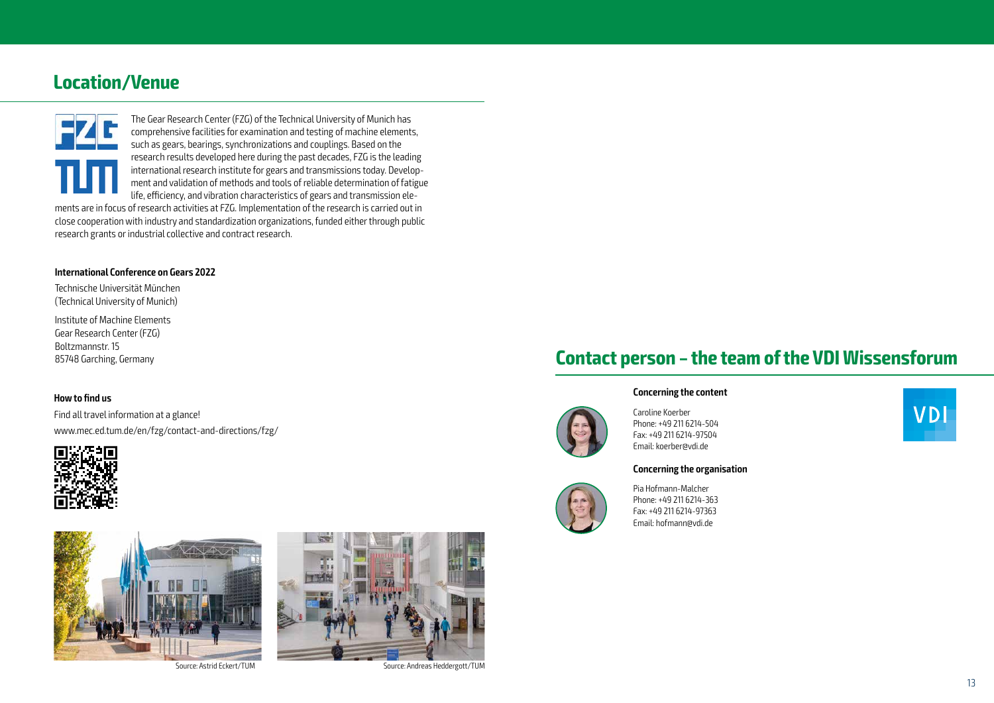### **Location/Venue**



The Gear Research Center (FZG) of the Technical University of Munich has comprehensive facilities for examination and testing of machine elements, such as gears, bearings, synchronizations and couplings. Based on the research results developed here during the past decades, FZG is the leading international research institute for gears and transmissions today. Development and validation of methods and tools of reliable determination of fatigue life, efficiency, and vibration characteristics of gears and transmission elements are in focus of research activities at FZG. Implementation of the research is carried out in close cooperation with industry and standardization organizations, funded either through public research grants or industrial collective and contract research.

#### **International Conference on Gears 2022**

Technische Universität München (Technical University of Munich)

Institute of Machine Elements Gear Research Center (FZG) Boltzmannstr. 15 85748 Garching, Germany

### **How to find us**

Find all travel information at a glance! www.mec.ed.tum.de/en/fzg/contact-and-directions/fzg/





Source: Astrid Eckert/TUM Source: Andreas Heddergott/TUM



### **Contact person – the team of the VDI Wissensforum**

#### **Concerning the content**



Caroline Koerber Phone: +49 211 6214-504 Fax: +49 211 6214-97504 Email: koerber@vdi.de

#### **Concerning the organisation**



Pia Hofmann-Malcher Phone: +49 211 6214-363 Fax: +49 211 6214-97363 Email: hofmann@vdi.de

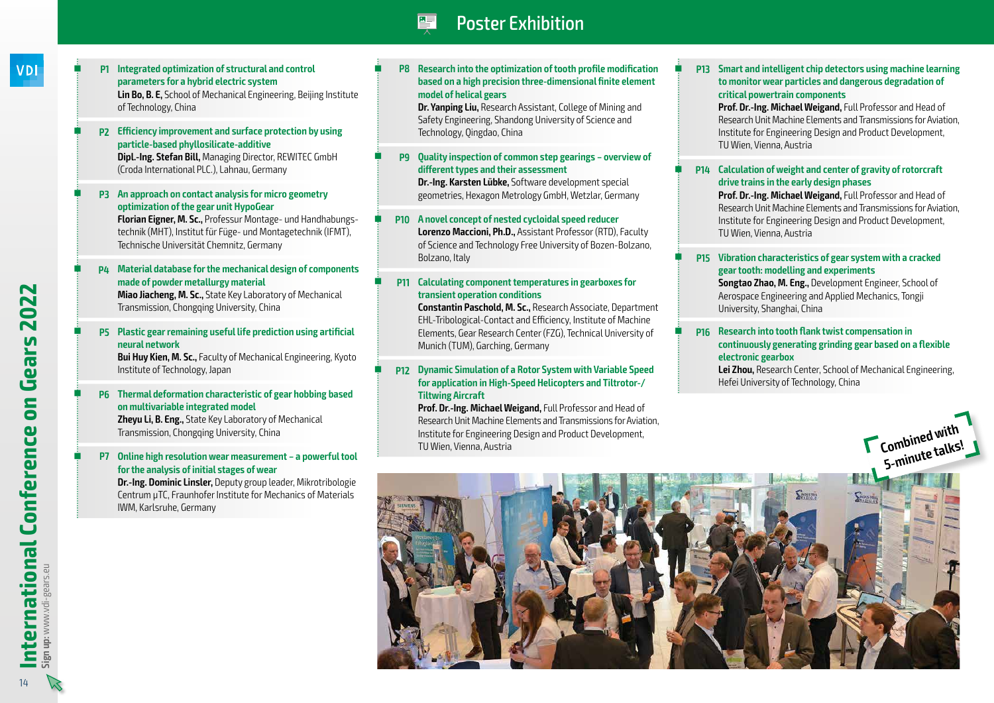# Poster Exhibition

- **VDI**
- **P1 Integrated optimization of structural and control parameters for a hybrid electric system Lin Bo, B. E,** School of Mechanical Engineering, Beijing Institute of Technology, China
- **P2 Efficiency improvement and surface protection by using particle-based phyllosilicate-additive Dipl.-Ing. Stefan Bill,** Managing Director, REWITEC GmbH (Croda International PLC.), Lahnau, Germany
- **P3 An approach on contact analysis for micro geometry optimization of the gear unit HypoGear Florian Eigner, M. Sc.,** Professur Montage- und Handhabungs-

technik (MHT), Institut für Füge- und Montagetechnik (IFMT), Technische Universität Chemnitz, Germany

- **P4 Material database for the mechanical design of components made of powder metallurgy material Miao Jiacheng, M. Sc.,** State Key Laboratory of Mechanical Transmission, Chongqing University, China
- **P5 Plastic gear remaining useful life prediction using artificial neural network**

**Bui Huy Kien, M. Sc.,** Faculty of Mechanical Engineering, Kyoto Institute of Technology, Japan

- **P6 Thermal deformation characteristic of gear hobbing based on multivariable integrated model Zheyu Li, B. Eng.,** State Key Laboratory of Mechanical Transmission, Chongqing University, China
- **P7 Online high resolution wear measurement a powerful tool for the analysis of initial stages of wear**

**Dr.-Ing. Dominic Linsler,** Deputy group leader, Mikrotribologie Centrum µTC, Fraunhofer Institute for Mechanics of Materials IWM, Karlsruhe, Germany

 **P8 Research into the optimization of tooth profile modification based on a high precision three-dimensional finite element model of helical gears**

**Dr. Yanping Liu,** Research Assistant, College of Mining and Safety Engineering, Shandong University of Science and Technology, Qingdao, China

 **P9 Quality inspection of common step gearings – overview of different types and their assessment Dr.-Ing. Karsten Lübke,** Software development special geometries, Hexagon Metrology GmbH, Wetzlar, Germany

 **P10 A novel concept of nested cycloidal speed reducer Lorenzo Maccioni, Ph.D.,** Assistant Professor (RTD), Faculty of Science and Technology Free University of Bozen-Bolzano, Bolzano, Italy

#### **P11 Calculating component temperatures in gearboxes for transient operation conditions**

**Constantin Paschold, M. Sc.,** Research Associate, Department EHL-Tribological-Contact and Efficiency, Institute of Machine Elements, Gear Research Center (FZG), Technical University of Munich (TUM), Garching, Germany

### **P12 Dynamic Simulation of a Rotor System with Variable Speed for application in High-Speed Helicopters and Tiltrotor-/ Tiltwing Aircraft**

**Prof. Dr.-Ing. Michael Weigand,** Full Professor and Head of Research Unit Machine Elements and Transmissions for Aviation, Institute for Engineering Design and Product Development, TU Wien, Vienna, Austria

 **P13 Smart and intelligent chip detectors using machine learning to monitor wear particles and dangerous degradation of critical powertrain components**

**Prof. Dr.-Ing. Michael Weigand,** Full Professor and Head of Research Unit Machine Elements and Transmissions for Aviation, Institute for Engineering Design and Product Development, TU Wien, Vienna, Austria

#### **P14 Calculation of weight and center of gravity of rotorcraft drive trains in the early design phases**

**Prof. Dr.-Ing. Michael Weigand,** Full Professor and Head of Research Unit Machine Elements and Transmissions for Aviation, Institute for Engineering Design and Product Development, TU Wien, Vienna, Austria

### **P15 Vibration characteristics of gear system with a cracked gear tooth: modelling and experiments**

**Songtao Zhao, M. Eng.,** Development Engineer, School of Aerospace Engineering and Applied Mechanics, Tongji University, Shanghai, China

### **P16 Research into tooth flank twist compensation in continuously generating grinding gear based on a flexible electronic gearbox**

**Lei Zhou,** Research Center, School of Mechanical Engineering, Hefei University of Technology, China

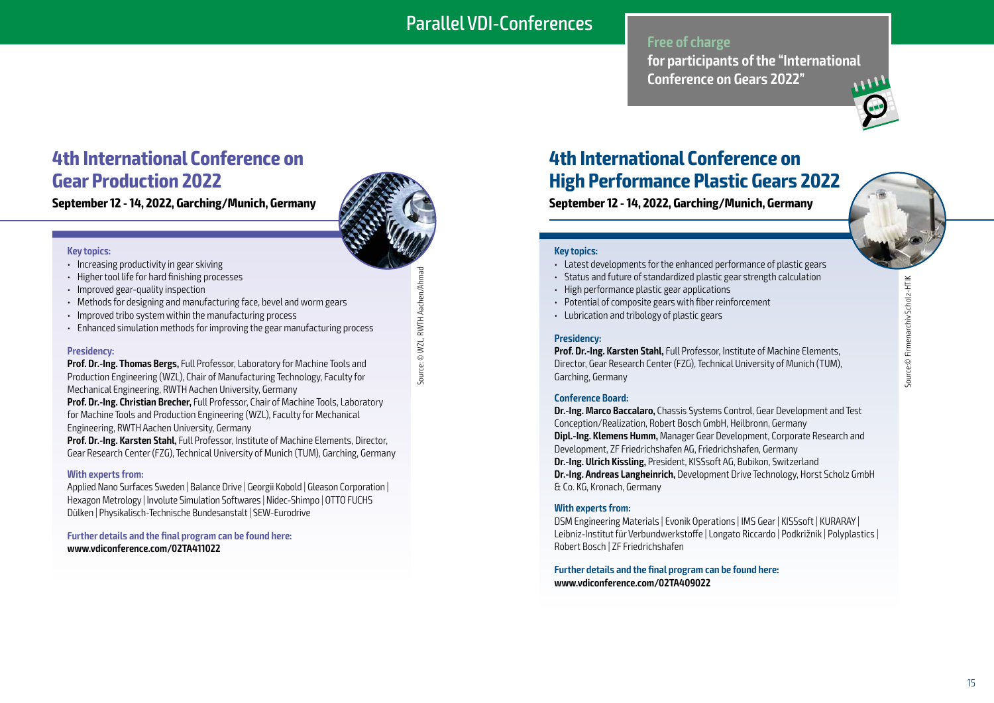### Parallel VDI-Conferences

### **Free of charge**

**for participants of the "International Conference on Gears 2022"**



# **4th International Conference on Gear Production 2022**

**September 12 - 14, 2022, Garching/Munich, Germany**

#### **Key topics:**

- Increasing productivity in gear skiving
- Higher tool life for hard finishing processes
- Improved gear-quality inspection
- Methods for designing and manufacturing face, bevel and worm gears
- Improved tribo system within the manufacturing process
- Enhanced simulation methods for improving the gear manufacturing process

### **Presidency:**

**Prof. Dr.-Ing. Thomas Bergs,** Full Professor, Laboratory for Machine Tools and Production Engineering (WZL), Chair of Manufacturing Technology, Faculty for Mechanical Engineering, RWTH Aachen University, Germany

**Prof. Dr.-Ing. Christian Brecher,** Full Professor, Chair of Machine Tools, Laboratory for Machine Tools and Production Engineering (WZL), Faculty for Mechanical Engineering, RWTH Aachen University, Germany

**Prof. Dr.-Ing. Karsten Stahl,** Full Professor, Institute of Machine Elements, Director, Gear Research Center (FZG), Technical University of Munich (TUM), Garching, Germany

### **With experts from:**

Applied Nano Surfaces Sweden | Balance Drive | Georgii Kobold | Gleason Corporation | Hexagon Metrology | Involute Simulation Softwares | Nidec-Shimpo | OTTO FUCHS Dülken | Physikalisch-Technische Bundesanstalt | SEW-Eurodrive

**Further details and the final program can be found here: www.vdiconference.com/02TA411022**



# **4th International Conference on High Performance Plastic Gears 2022**

**September 12 - 14, 2022, Garching/Munich, Germany**



- Latest developments for the enhanced performance of plastic gears
- Status and future of standardized plastic gear strength calculation
- High performance plastic gear applications
- Potential of composite gears with fiber reinforcement
- Lubrication and tribology of plastic gears

### **Presidency:**

**Prof. Dr.-Ing. Karsten Stahl,** Full Professor, Institute of Machine Elements, Director, Gear Research Center (FZG), Technical University of Munich (TUM), Garching, Germany

### **Conference Board:**

**Dr.-Ing. Marco Baccalaro,** Chassis Systems Control, Gear Development and Test Conception/Realization, Robert Bosch GmbH, Heilbronn, Germany **Dipl.-Ing. Klemens Humm,** Manager Gear Development, Corporate Research and Development, ZF Friedrichshafen AG, Friedrichshafen, Germany **Dr.-Ing. Ulrich Kissling,** President, KISSsoft AG, Bubikon, Switzerland **Dr.-Ing. Andreas Langheinrich,** Development Drive Technology, Horst Scholz GmbH & Co. KG, Kronach, Germany

### **With experts from:**

DSM Engineering Materials | Evonik Operations | IMS Gear | KISSsoft | KURARAY | Leibniz-Institut für Verbundwerkstoffe | Longato Riccardo | Podkrižnik | Polyplastics | Robert Bosch | ZF Friedrichshafen

**Further details and the final program can be found here: www.vdiconference.com/02TA409022**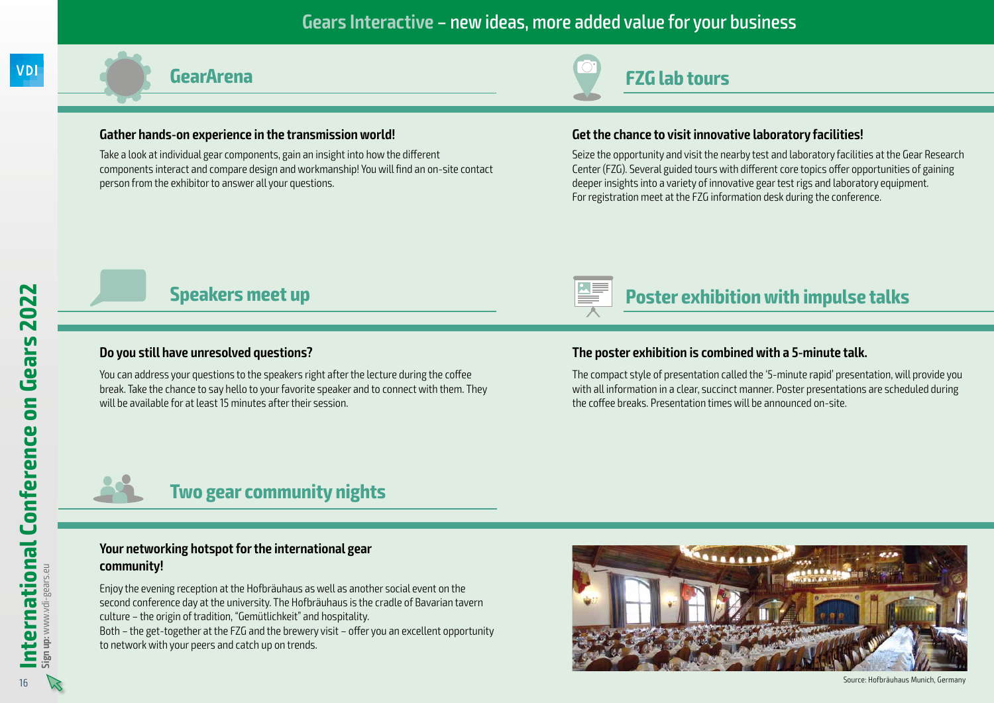### **Gears Interactive** – new ideas, more added value for your business

### **Gather hands-on experience in the transmission world!**

Take a look at individual gear components, gain an insight into how the different components interact and compare design and workmanship! You will find an on-site contact person from the exhibitor to answer all your questions.



# **Presidency GearArena FZG lab tours**

### **Get the chance to visit innovative laboratory facilities!**

Seize the opportunity and visit the nearby test and laboratory facilities at the Gear Research Center (FZG). Several guided tours with different core topics offer opportunities of gaining deeper insights into a variety of innovative gear test rigs and laboratory equipment. For registration meet at the FZG information desk during the conference.

# **Speakers meet up Poster exhibition with impulse talks**

### **Do you still have unresolved questions?**

You can address your questions to the speakers right after the lecture during the coffee break. Take the chance to say hello to your favorite speaker and to connect with them. They will be available for at least 15 minutes after their session.

# **The poster exhibition is combined with a 5-minute talk.**

The compact style of presentation called the '5-minute rapid' presentation, will provide you with all information in a clear, succinct manner. Poster presentations are scheduled during the coffee breaks. Presentation times will be announced on-site.



### **Two gear community nights**

### **Your networking hotspot for the international gear community!**

Enjoy the evening reception at the Hofbräuhaus as well as another social event on the second conference day at the university. The Hofbräuhaus is the cradle of Bavarian tavern culture – the origin of tradition, "Gemütlichkeit" and hospitality.

Both – the get-together at the FZG and the brewery visit – offer you an excellent opportunity to network with your peers and catch up on trends.



Source: Hofbräuhaus Munich, Germany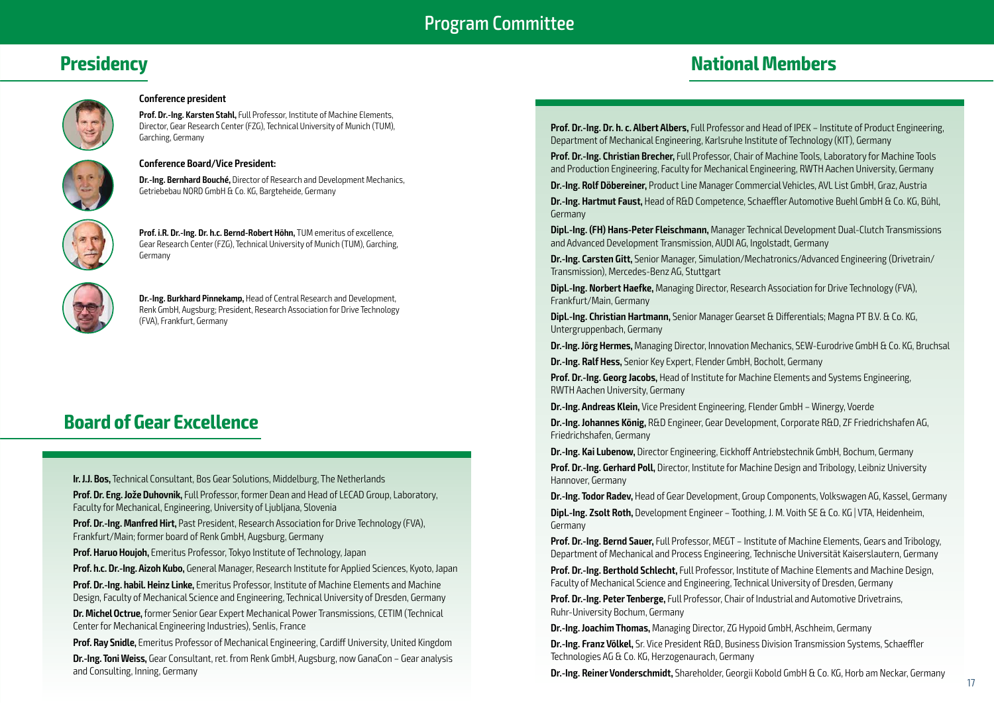### Program Committee

### **Presidency**

# **National Members**



### **Conference president**

**Prof. Dr.-Ing. Karsten Stahl,** Full Professor, Institute of Machine Elements, Director, Gear Research Center (FZG), Technical University of Munich (TUM), Garching, Germany



#### **Conference Board/Vice President:**

**Dr.-Ing. Bernhard Bouché,** Director of Research and Development Mechanics, Getriebebau NORD GmbH & Co. KG, Bargteheide, Germany



**Prof. i.R. Dr.-Ing. Dr. h.c. Bernd-Robert Höhn,** TUM emeritus of excellence, Gear Research Center (FZG), Technical University of Munich (TUM), Garching, Germany



**Dr.-Ing. Burkhard Pinnekamp,** Head of Central Research and Development, Renk GmbH, Augsburg; President, Research Association for Drive Technology (FVA), Frankfurt, Germany

### **Board of Gear Excellence**

**Ir. J.J. Bos,** Technical Consultant, Bos Gear Solutions, Middelburg, The Netherlands

**Prof. Dr. Eng. Jože Duhovnik,** Full Professor, former Dean and Head of LECAD Group, Laboratory, Faculty for Mechanical, Engineering, University of Ljubljana, Slovenia

**Prof. Dr.-Ing. Manfred Hirt,** Past President, Research Association for Drive Technology (FVA), Frankfurt/Main; former board of Renk GmbH, Augsburg, Germany

**Prof. Haruo Houjoh,** Emeritus Professor, Tokyo Institute of Technology, Japan

**Prof. h.c. Dr.-Ing. Aizoh Kubo,** General Manager, Research Institute for Applied Sciences, Kyoto, Japan **Prof. Dr.-Ing. habil. Heinz Linke,** Emeritus Professor, Institute of Machine Elements and Machine Design, Faculty of Mechanical Science and Engineering, Technical University of Dresden, Germany

**Dr. Michel Octrue,** former Senior Gear Expert Mechanical Power Transmissions, CETIM (Technical Center for Mechanical Engineering Industries), Senlis, France

**Prof. Ray Snidle,** Emeritus Professor of Mechanical Engineering, Cardiff University, United Kingdom **Dr.-Ing. Toni Weiss,** Gear Consultant, ret. from Renk GmbH, Augsburg, now GanaCon – Gear analysis and Consulting, Inning, Germany

**Prof. Dr.-Ing. Dr. h. c. Albert Albers,** Full Professor and Head of IPEK – Institute of Product Engineering, Department of Mechanical Engineering, Karlsruhe Institute of Technology (KIT), Germany

**Prof. Dr.-Ing. Christian Brecher,** Full Professor, Chair of Machine Tools, Laboratory for Machine Tools and Production Engineering, Faculty for Mechanical Engineering, RWTH Aachen University, Germany

**Dr.-Ing. Rolf Döbereiner,** Product Line Manager Commercial Vehicles, AVL List GmbH, Graz, Austria

**Dr.-Ing. Hartmut Faust,** Head of R&D Competence, Schaeffler Automotive Buehl GmbH & Co. KG, Bühl, Germany

**Dipl.-Ing. (FH) Hans-Peter Fleischmann,** Manager Technical Development Dual-Clutch Transmissions and Advanced Development Transmission, AUDI AG, Ingolstadt, Germany

**Dr.-Ing. Carsten Gitt,** Senior Manager, Simulation/Mechatronics/Advanced Engineering (Drivetrain/ Transmission), Mercedes-Benz AG, Stuttgart

**Dipl.-Ing. Norbert Haefke,** Managing Director, Research Association for Drive Technology (FVA), Frankfurt/Main, Germany

**Dipl.-Ing. Christian Hartmann,** Senior Manager Gearset & Differentials; Magna PT B.V. & Co. KG, Untergruppenbach, Germany

**Dr.-Ing. Jörg Hermes,** Managing Director, Innovation Mechanics, SEW-Eurodrive GmbH & Co. KG, Bruchsal **Dr.-Ing. Ralf Hess,** Senior Key Expert, Flender GmbH, Bocholt, Germany

**Prof. Dr.-Ing. Georg Jacobs,** Head of Institute for Machine Elements and Systems Engineering, RWTH Aachen University, Germany

**Dr.-Ing. Andreas Klein,** Vice President Engineering, Flender GmbH – Winergy, Voerde

**Dr.-Ing. Johannes König,** R&D Engineer, Gear Development, Corporate R&D, ZF Friedrichshafen AG, Friedrichshafen, Germany

**Dr.-Ing. Kai Lubenow,** Director Engineering, Eickhoff Antriebstechnik GmbH, Bochum, Germany

**Prof. Dr.-Ing. Gerhard Poll,** Director, Institute for Machine Design and Tribology, Leibniz University Hannover, Germany

**Dr.-Ing. Todor Radev,** Head of Gear Development, Group Components, Volkswagen AG, Kassel, Germany

**Dipl.-Ing. Zsolt Roth,** Development Engineer – Toothing, J. M. Voith SE & Co. KG | VTA, Heidenheim, Germany

**Prof. Dr.-Ing. Bernd Sauer,** Full Professor, MEGT – Institute of Machine Elements, Gears and Tribology, Department of Mechanical and Process Engineering, Technische Universität Kaiserslautern, Germany

**Prof. Dr.-Ing. Berthold Schlecht,** Full Professor, Institute of Machine Elements and Machine Design, Faculty of Mechanical Science and Engineering, Technical University of Dresden, Germany

**Prof. Dr.-Ing. Peter Tenberge,** Full Professor, Chair of Industrial and Automotive Drivetrains, Ruhr-University Bochum, Germany

**Dr.-Ing. Joachim Thomas,** Managing Director, ZG Hypoid GmbH, Aschheim, Germany

**Dr.-Ing. Franz Völkel,** Sr. Vice President R&D, Business Division Transmission Systems, Schaeffler Technologies AG & Co. KG, Herzogenaurach, Germany

**Dr.-Ing. Reiner Vonderschmidt,** Shareholder, Georgii Kobold GmbH & Co. KG, Horb am Neckar, Germany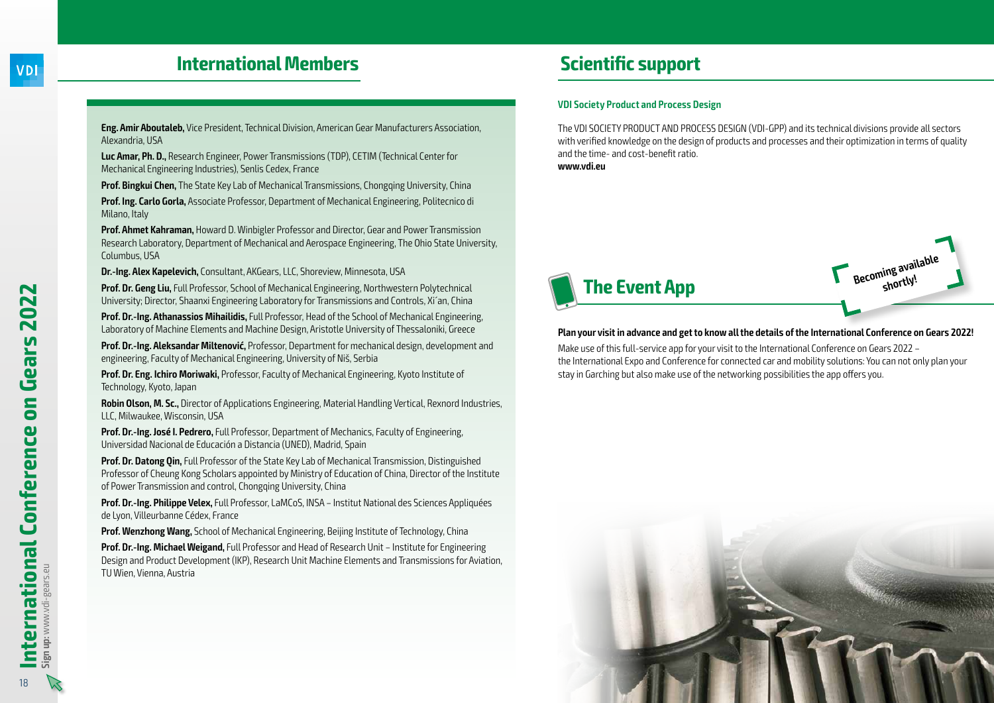2022

Gears

### **International Members**

**Eng. Amir Aboutaleb,** Vice President, Technical Division, American Gear Manufacturers Association, Alexandria, USA

**Luc Amar, Ph. D.,** Research Engineer, Power Transmissions (TDP), CETIM (Technical Center for Mechanical Engineering Industries), Senlis Cedex, France

**Prof. Bingkui Chen.** The State Key Lab of Mechanical Transmissions, Chongqing University, China

**Prof. Ing. Carlo Gorla,** Associate Professor, Department of Mechanical Engineering, Politecnico di Milano, Italy

**Prof. Ahmet Kahraman,** Howard D. Winbigler Professor and Director, Gear and Power Transmission Research Laboratory, Department of Mechanical and Aerospace Engineering, The Ohio State University, Columbus, USA

**Dr.-Ing. Alex Kapelevich,** Consultant, AKGears, LLC, Shoreview, Minnesota, USA

**Prof. Dr. Geng Liu,** Full Professor, School of Mechanical Engineering, Northwestern Polytechnical University; Director, Shaanxi Engineering Laboratory for Transmissions and Controls, Xi´an, China

**Prof. Dr.-Ing. Athanassios Mihailidis,** Full Professor, Head of the School of Mechanical Engineering, Laboratory of Machine Elements and Machine Design, Aristotle University of Thessaloniki, Greece

**Prof. Dr.-Ing. Aleksandar Miltenović,** Professor, Department for mechanical design, development and engineering, Faculty of Mechanical Engineering, University of Niš, Serbia

**Prof. Dr. Eng. Ichiro Moriwaki,** Professor, Faculty of Mechanical Engineering, Kyoto Institute of Technology, Kyoto, Japan

**Robin Olson, M. Sc.,** Director of Applications Engineering, Material Handling Vertical, Rexnord Industries, LLC, Milwaukee, Wisconsin, USA

**Prof. Dr.-Ing. José I. Pedrero,** Full Professor, Department of Mechanics, Faculty of Engineering, Universidad Nacional de Educación a Distancia (UNED), Madrid, Spain

**Prof. Dr. Datong Qin,** Full Professor of the State Key Lab of Mechanical Transmission, Distinguished Professor of Cheung Kong Scholars appointed by Ministry of Education of China, Director of the Institute of Power Transmission and control, Chongqing University, China

**Prof. Dr.-Ing. Philippe Velex,** Full Professor, LaMCoS, INSA – Institut National des Sciences Appliquées de Lyon, Villeurbanne Cédex, France

**Prof. Wenzhong Wang,** School of Mechanical Engineering, Beijing Institute of Technology, China

**Prof. Dr.-Ing. Michael Weigand,** Full Professor and Head of Research Unit – Institute for Engineering Design and Product Development (IKP), Research Unit Machine Elements and Transmissions for Aviation, TU Wien, Vienna, Austria

# **Scientific support**

### **VDI Society Product and Process Design**

The VDI SOCIETY PRODUCT AND PROCESS DESIGN (VDI-GPP) and its technical divisions provide all sectors with verified knowledge on the design of products and processes and their optimization in terms of quality and the time- and cost-benefit ratio. **www.vdi.eu**



### **Plan your visit in advance and get to know all the details of the International Conference on Gears 2022!**

Make use of this full-service app for your visit to the International Conference on Gears 2022 – the International Expo and Conference for connected car and mobility solutions: You can not only plan your stay in Garching but also make use of the networking possibilities the app offers you.



**Sign up:** www.vdi-gears.eu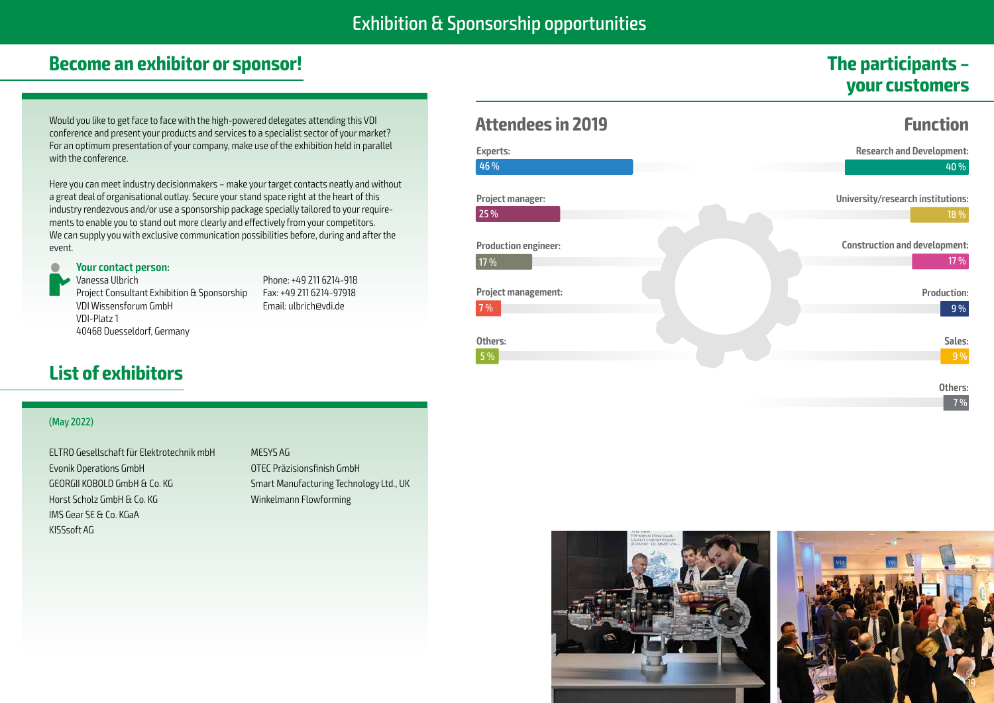### **Become an exhibitor or sponsor!**

# **The participants – your customers**

Would you like to get face to face with the high-powered delegates attending this VDI conference and present your products and services to a specialist sector of your market? For an optimum presentation of your company, make use of the exhibition held in parallel with the conference.

Here you can meet industry decisionmakers – make your target contacts neatly and without a great deal of organisational outlay. Secure your stand space right at the heart of this industry rendezvous and/or use a sponsorship package specially tailored to your requirements to enable you to stand out more clearly and effectively from your competitors. We can supply you with exclusive communication possibilities before, during and after the event.

### **Your contact person:**

Vanessa Ulbrich Project Consultant Exhibition & Sponsorship VDI Wissensforum GmbH VDI-Platz 1 40468 Duesseldorf, Germany

Phone: +49 211 6214-918 Fax: +49 211 6214-97918 Email: ulbrich@vdi.de

# **List of exhibitors**

| <b>Attendees in 2019</b>            | <b>Function</b>                              |
|-------------------------------------|----------------------------------------------|
| Experts:<br>46 %                    | <b>Research and Development:</b><br>40 %     |
| Project manager:<br>25 %            | University/research institutions:<br>$18\%$  |
| <b>Production engineer:</b><br>17 % | <b>Construction and development:</b><br>17 % |
| <b>Project management:</b><br>7%    | <b>Production:</b><br>9%                     |
| Others:<br>5 %                      | Sales:<br>9%                                 |

**Others:** 7 %

### (May 2022)

ELTRO Gesellschaft für Elektrotechnik mbH Evonik Operations GmbH GEORGII KOBOLD GmbH & Co. KG Horst Scholz GmbH & Co. KG IMS Gear SE & Co. KGaA KISSsoft AG

MESYS AG OTEC Präzisionsfinish GmbH Smart Manufacturing Technology Ltd., UK Winkelmann Flowforming